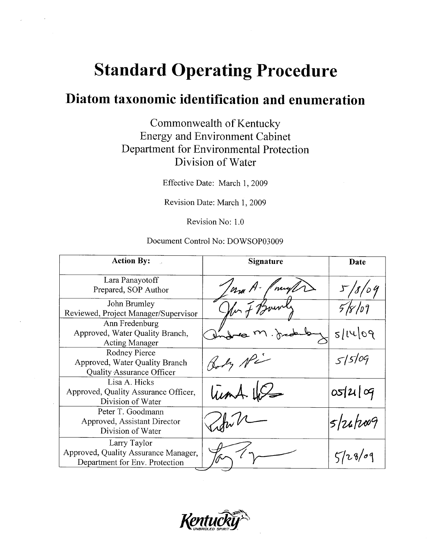## **Standard Operating Procedure**

### Diatom taxonomic identification and enumeration

Commonwealth of Kentucky **Energy and Environment Cabinet** Department for Environmental Protection Division of Water

Effective Date: March 1, 2009

Revision Date: March 1, 2009

Revision No: 1.0

#### Document Control No: DOWSOP03009

| <b>Action By:</b>                                                                      | Signature   | Date                 |
|----------------------------------------------------------------------------------------|-------------|----------------------|
| Lara Panayotoff<br>Prepared, SOP Author                                                | na A.<br>mu | 18'<br>$^\prime$ o 4 |
| John Brumley<br>Reviewed, Project Manager/Supervisor                                   | I 15        |                      |
| Ann Fredenburg<br>Approved, Water Quality Branch,<br><b>Acting Manager</b>             |             | 5/1409               |
| Rodney Pierce<br>Approved, Water Quality Branch<br>Quality Assurance Officer           |             | 515/09               |
| Lisa A. Hicks<br>Approved, Quality Assurance Officer,<br>Division of Water             | Lund 11     | 05/21/09             |
| Peter T. Goodmann<br>Approved, Assistant Director<br>Division of Water                 |             | $5/24h$ 009          |
| Larry Taylor<br>Approved, Quality Assurance Manager,<br>Department for Env. Protection |             | 128/09               |

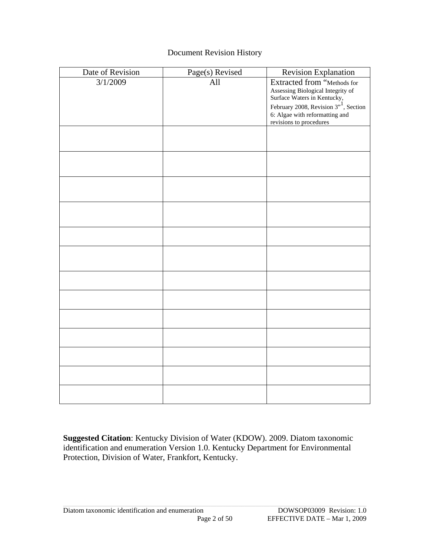#### Document Revision History

| Date of Revision | Page(s) Revised | <b>Revision Explanation</b>                                                                                                                                                                               |
|------------------|-----------------|-----------------------------------------------------------------------------------------------------------------------------------------------------------------------------------------------------------|
| 3/1/2009         | All             | Extracted from "Methods for<br>Assessing Biological Integrity of<br>Surface Waters in Kentucky,<br>February 2008, Revision $3^{1}$ , Section<br>6: Algae with reformatting and<br>revisions to procedures |
|                  |                 |                                                                                                                                                                                                           |
|                  |                 |                                                                                                                                                                                                           |
|                  |                 |                                                                                                                                                                                                           |
|                  |                 |                                                                                                                                                                                                           |
|                  |                 |                                                                                                                                                                                                           |
|                  |                 |                                                                                                                                                                                                           |
|                  |                 |                                                                                                                                                                                                           |
|                  |                 |                                                                                                                                                                                                           |
|                  |                 |                                                                                                                                                                                                           |
|                  |                 |                                                                                                                                                                                                           |
|                  |                 |                                                                                                                                                                                                           |
|                  |                 |                                                                                                                                                                                                           |
|                  |                 |                                                                                                                                                                                                           |

**Suggested Citation**: Kentucky Division of Water (KDOW). 2009. Diatom taxonomic identification and enumeration Version 1.0. Kentucky Department for Environmental Protection, Division of Water, Frankfort, Kentucky.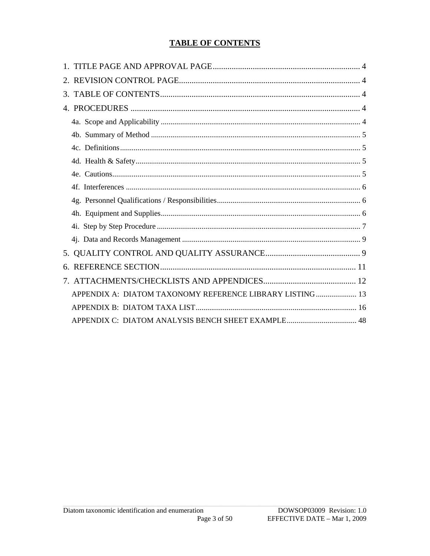#### **TABLE OF CONTENTS**

| APPENDIX A: DIATOM TAXONOMY REFERENCE LIBRARY LISTING 13 |  |
|----------------------------------------------------------|--|
|                                                          |  |
|                                                          |  |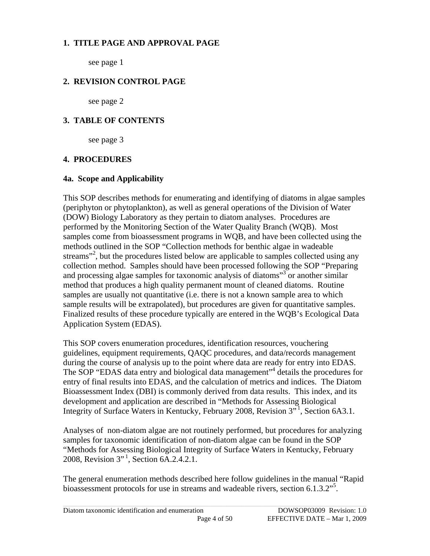#### <span id="page-3-0"></span>**1. TITLE PAGE AND APPROVAL PAGE**

see page 1

#### **2. REVISION CONTROL PAGE**

see page 2

#### **3. TABLE OF CONTENTS**

see page 3

#### **4. PROCEDURES**

#### **4a. Scope and Applicability**

This SOP describes methods for enumerating and identifying of diatoms in algae samples (periphyton or phytoplankton), as well as general operations of the Division of Water (DOW) Biology Laboratory as they pertain to diatom analyses. Procedures are performed by the Monitoring Section of the Water Quality Branch (WQB). Most samples come from bioassessment programs in WQB, and have been collected using the methods outlined in the SOP "Collection methods for benthic algae in wadeable streams"<sup>2</sup>, but the procedures listed below are applicable to samples collected using any collection method. Samples should have been processed following the SOP "Preparing and processing algae samples for taxonomic analysis of diatoms"<sup>3</sup> or another similar method that produces a high quality permanent mount of cleaned diatoms. Routine samples are usually not quantitative (i.e. there is not a known sample area to which sample results will be extrapolated), but procedures are given for quantitative samples. Finalized results of these procedure typically are entered in the WQB's Ecological Data Application System (EDAS).

This SOP covers enumeration procedures, identification resources, vouchering guidelines, equipment requirements, QAQC procedures, and data/records management during the course of analysis up to the point where data are ready for entry into EDAS. The SOP "EDAS data entry and biological data management"<sup>4</sup> details the procedures for entry of final results into EDAS, and the calculation of metrics and indices. The Diatom Bioassessment Index (DBI) is commonly derived from data results. This index, and its development and application are described in "Methods for Assessing Biological Integrity of Surface Waters in Kentucky, February 2008, Revision 3"<sup>1</sup>, Section 6A3.1.

Analyses of non-diatom algae are not routinely performed, but procedures for analyzing samples for taxonomic identification of non-diatom algae can be found in the SOP "Methods for Assessing Biological Integrity of Surface Waters in Kentucky, February 2008, Revision 3" <sup>1</sup> , Section 6A.2.4.2.1.

The general enumeration methods described here follow guidelines in the manual "Rapid bioassessment protocols for use in streams and wadeable rivers, section 6.1.3.2"<sup>5</sup>.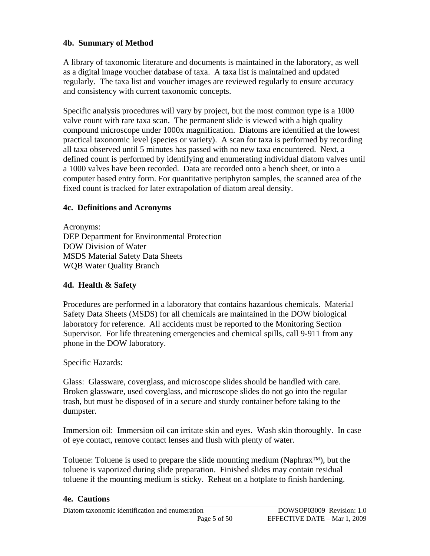#### <span id="page-4-0"></span>**4b. Summary of Method**

A library of taxonomic literature and documents is maintained in the laboratory, as well as a digital image voucher database of taxa. A taxa list is maintained and updated regularly. The taxa list and voucher images are reviewed regularly to ensure accuracy and consistency with current taxonomic concepts.

Specific analysis procedures will vary by project, but the most common type is a 1000 valve count with rare taxa scan. The permanent slide is viewed with a high quality compound microscope under 1000x magnification. Diatoms are identified at the lowest practical taxonomic level (species or variety). A scan for taxa is performed by recording all taxa observed until 5 minutes has passed with no new taxa encountered. Next, a defined count is performed by identifying and enumerating individual diatom valves until a 1000 valves have been recorded. Data are recorded onto a bench sheet, or into a computer based entry form. For quantitative periphyton samples, the scanned area of the fixed count is tracked for later extrapolation of diatom areal density.

#### **4c. Definitions and Acronyms**

Acronyms: DEP Department for Environmental Protection DOW Division of Water MSDS Material Safety Data Sheets WQB Water Quality Branch

#### **4d. Health & Safety**

Procedures are performed in a laboratory that contains hazardous chemicals. Material Safety Data Sheets (MSDS) for all chemicals are maintained in the DOW biological laboratory for reference. All accidents must be reported to the Monitoring Section Supervisor. For life threatening emergencies and chemical spills, call 9-911 from any phone in the DOW laboratory.

#### Specific Hazards:

Glass: Glassware, coverglass, and microscope slides should be handled with care. Broken glassware, used coverglass, and microscope slides do not go into the regular trash, but must be disposed of in a secure and sturdy container before taking to the dumpster.

Immersion oil: Immersion oil can irritate skin and eyes. Wash skin thoroughly. In case of eye contact, remove contact lenses and flush with plenty of water.

Toluene: Toluene is used to prepare the slide mounting medium (Naphrax<sup>™</sup>), but the toluene is vaporized during slide preparation. Finished slides may contain residual toluene if the mounting medium is sticky. Reheat on a hotplate to finish hardening.

#### **Executions Executions Executions Executions**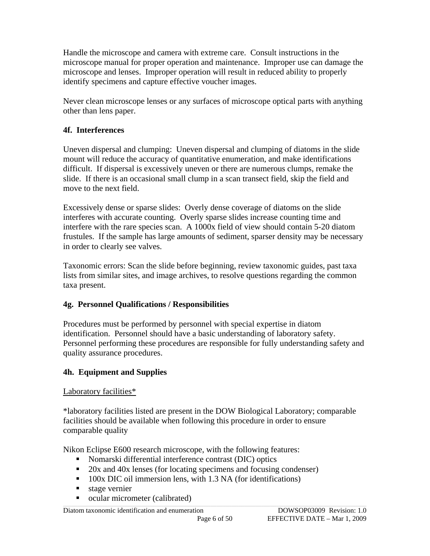<span id="page-5-0"></span>Handle the microscope and camera with extreme care. Consult instructions in the microscope manual for proper operation and maintenance. Improper use can damage the microscope and lenses. Improper operation will result in reduced ability to properly identify specimens and capture effective voucher images.

Never clean microscope lenses or any surfaces of microscope optical parts with anything other than lens paper.

#### **4f. Interferences**

Uneven dispersal and clumping: Uneven dispersal and clumping of diatoms in the slide mount will reduce the accuracy of quantitative enumeration, and make identifications difficult. If dispersal is excessively uneven or there are numerous clumps, remake the slide. If there is an occasional small clump in a scan transect field, skip the field and move to the next field.

Excessively dense or sparse slides: Overly dense coverage of diatoms on the slide interferes with accurate counting. Overly sparse slides increase counting time and interfere with the rare species scan. A 1000x field of view should contain 5-20 diatom frustules. If the sample has large amounts of sediment, sparser density may be necessary in order to clearly see valves.

Taxonomic errors: Scan the slide before beginning, review taxonomic guides, past taxa lists from similar sites, and image archives, to resolve questions regarding the common taxa present.

#### **4g. Personnel Qualifications / Responsibilities**

Procedures must be performed by personnel with special expertise in diatom identification. Personnel should have a basic understanding of laboratory safety. Personnel performing these procedures are responsible for fully understanding safety and quality assurance procedures.

#### **4h. Equipment and Supplies**

#### Laboratory facilities\*

\*laboratory facilities listed are present in the DOW Biological Laboratory; comparable facilities should be available when following this procedure in order to ensure comparable quality

Nikon Eclipse E600 research microscope, with the following features:

- Nomarski differential interference contrast (DIC) optics
- 20x and 40x lenses (for locating specimens and focusing condenser)
- 100x DIC oil immersion lens, with 1.3 NA (for identifications)
- stage vernier
- ocular micrometer (calibrated)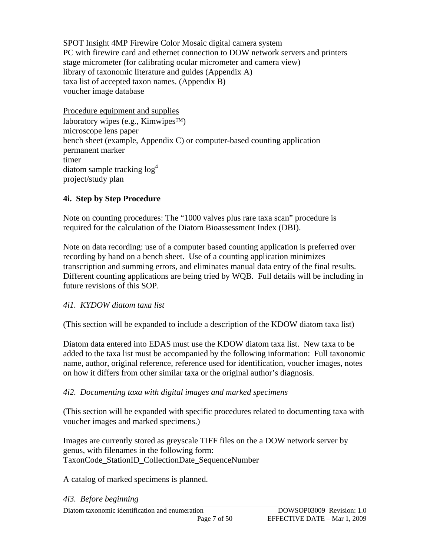<span id="page-6-0"></span>SPOT Insight 4MP Firewire Color Mosaic digital camera system PC with firewire card and ethernet connection to DOW network servers and printers stage micrometer (for calibrating ocular micrometer and camera view) library of taxonomic literature and guides (Appendix A) taxa list of accepted taxon names. (Appendix B) voucher image database

Procedure equipment and supplies laboratory wipes (e.g., Kimwipes<sup>™)</sup> microscope lens paper bench sheet (example, Appendix C) or computer-based counting application permanent marker timer diatom sample tracking  $log<sup>4</sup>$ project/study plan

#### **4i. Step by Step Procedure**

Note on counting procedures: The "1000 valves plus rare taxa scan" procedure is required for the calculation of the Diatom Bioassessment Index (DBI).

Note on data recording: use of a computer based counting application is preferred over recording by hand on a bench sheet. Use of a counting application minimizes transcription and summing errors, and eliminates manual data entry of the final results. Different counting applications are being tried by WQB. Full details will be including in future revisions of this SOP.

#### *4i1. KYDOW diatom taxa list*

(This section will be expanded to include a description of the KDOW diatom taxa list)

Diatom data entered into EDAS must use the KDOW diatom taxa list. New taxa to be added to the taxa list must be accompanied by the following information: Full taxonomic name, author, original reference, reference used for identification, voucher images, notes on how it differs from other similar taxa or the original author's diagnosis.

#### *4i2. Documenting taxa with digital images and marked specimens*

(This section will be expanded with specific procedures related to documenting taxa with voucher images and marked specimens.)

Images are currently stored as greyscale TIFF files on the a DOW network server by genus, with filenames in the following form: TaxonCode\_StationID\_CollectionDate\_SequenceNumber

A catalog of marked specimens is planned.

#### *4i3. Before beginning*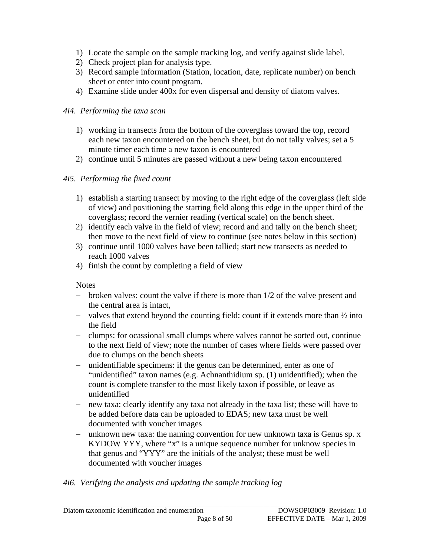- 1) Locate the sample on the sample tracking log, and verify against slide label.
- 2) Check project plan for analysis type.
- 3) Record sample information (Station, location, date, replicate number) on bench sheet or enter into count program.
- 4) Examine slide under 400x for even dispersal and density of diatom valves.

#### *4i4. Performing the taxa scan*

- 1) working in transects from the bottom of the coverglass toward the top, record each new taxon encountered on the bench sheet, but do not tally valves; set a 5 minute timer each time a new taxon is encountered
- 2) continue until 5 minutes are passed without a new being taxon encountered

#### *4i5. Performing the fixed count*

- 1) establish a starting transect by moving to the right edge of the coverglass (left side of view) and positioning the starting field along this edge in the upper third of the coverglass; record the vernier reading (vertical scale) on the bench sheet.
- 2) identify each valve in the field of view; record and and tally on the bench sheet; then move to the next field of view to continue (see notes below in this section)
- 3) continue until 1000 valves have been tallied; start new transects as needed to reach 1000 valves
- 4) finish the count by completing a field of view

#### Notes

- − broken valves: count the valve if there is more than 1/2 of the valve present and the central area is intact,
- − valves that extend beyond the counting field: count if it extends more than ½ into the field
- − clumps: for ocassional small clumps where valves cannot be sorted out, continue to the next field of view; note the number of cases where fields were passed over due to clumps on the bench sheets
- − unidentifiable specimens: if the genus can be determined, enter as one of "unidentified" taxon names (e.g. Achnanthidium sp. (1) unidentified); when the count is complete transfer to the most likely taxon if possible, or leave as unidentified
- − new taxa: clearly identify any taxa not already in the taxa list; these will have to be added before data can be uploaded to EDAS; new taxa must be well documented with voucher images
- − unknown new taxa: the naming convention for new unknown taxa is Genus sp. x KYDOW YYY, where "x" is a unique sequence number for unknow species in that genus and "YYY" are the initials of the analyst; these must be well documented with voucher images

#### *4i6. Verifying the analysis and updating the sample tracking log*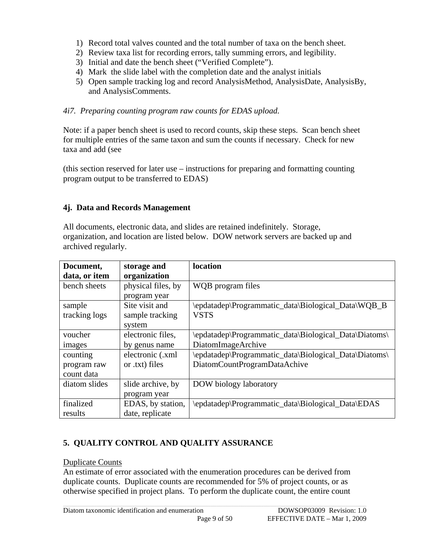- <span id="page-8-0"></span>1) Record total valves counted and the total number of taxa on the bench sheet.
- 2) Review taxa list for recording errors, tally summing errors, and legibility.
- 3) Initial and date the bench sheet ("Verified Complete").
- 4) Mark the slide label with the completion date and the analyst initials
- 5) Open sample tracking log and record AnalysisMethod, AnalysisDate, AnalysisBy, and AnalysisComments.

#### *4i7. Preparing counting program raw counts for EDAS upload.*

Note: if a paper bench sheet is used to record counts, skip these steps. Scan bench sheet for multiple entries of the same taxon and sum the counts if necessary. Check for new taxa and add (see

(this section reserved for later use – instructions for preparing and formatting counting program output to be transferred to EDAS)

#### **4j. Data and Records Management**

All documents, electronic data, and slides are retained indefinitely. Storage, organization, and location are listed below. DOW network servers are backed up and archived regularly.

| Document,     | storage and        | location                                              |
|---------------|--------------------|-------------------------------------------------------|
| data, or item | organization       |                                                       |
| bench sheets  | physical files, by | WQB program files                                     |
|               | program year       |                                                       |
| sample        | Site visit and     | \epdatadep\Programmatic_data\Biological_Data\WQB_B    |
| tracking logs | sample tracking    | <b>VSTS</b>                                           |
|               | system             |                                                       |
| voucher       | electronic files,  | \epdatadep\Programmatic_data\Biological_Data\Diatoms\ |
| images        | by genus name      | DiatomImageArchive                                    |
| counting      | electronic (.xml   | \epdatadep\Programmatic_data\Biological_Data\Diatoms\ |
| program raw   | or .txt) files     | DiatomCountProgramDataAchive                          |
| count data    |                    |                                                       |
| diatom slides | slide archive, by  | DOW biology laboratory                                |
|               | program year       |                                                       |
| finalized     | EDAS, by station,  | \epdatadep\Programmatic_data\Biological_Data\EDAS     |
| results       | date, replicate    |                                                       |

#### **5. QUALITY CONTROL AND QUALITY ASSURANCE**

#### Duplicate Counts

An estimate of error associated with the enumeration procedures can be derived from duplicate counts. Duplicate counts are recommended for 5% of project counts, or as otherwise specified in project plans. To perform the duplicate count, the entire count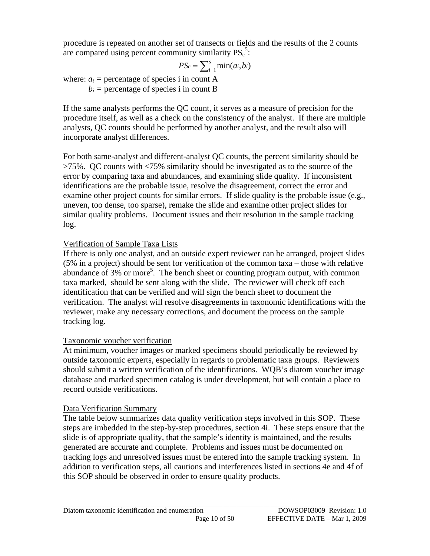procedure is repeated on another set of transects or fields and the results of the 2 counts are compared using percent community similarity  $PS_c^5$ :

$$
PS_c = \sum_{i=1}^s \min(a_i, b_i)
$$

where:  $a_i$  = percentage of species i in count A  $b_i$  = percentage of species i in count B

If the same analysts performs the QC count, it serves as a measure of precision for the procedure itself, as well as a check on the consistency of the analyst. If there are multiple analysts, QC counts should be performed by another analyst, and the result also will incorporate analyst differences.

For both same-analyst and different-analyst QC counts, the percent similarity should be >75%. QC counts with <75% similarity should be investigated as to the source of the error by comparing taxa and abundances, and examining slide quality. If inconsistent identifications are the probable issue, resolve the disagreement, correct the error and examine other project counts for similar errors. If slide quality is the probable issue (e.g., uneven, too dense, too sparse), remake the slide and examine other project slides for similar quality problems. Document issues and their resolution in the sample tracking log.

#### Verification of Sample Taxa Lists

If there is only one analyst, and an outside expert reviewer can be arranged, project slides (5% in a project) should be sent for verification of the common taxa – those with relative abundance of  $3\%$  or more<sup>5</sup>. The bench sheet or counting program output, with common taxa marked, should be sent along with the slide. The reviewer will check off each identification that can be verified and will sign the bench sheet to document the verification. The analyst will resolve disagreements in taxonomic identifications with the reviewer, make any necessary corrections, and document the process on the sample tracking log.

#### Taxonomic voucher verification

At minimum, voucher images or marked specimens should periodically be reviewed by outside taxonomic experts, especially in regards to problematic taxa groups. Reviewers should submit a written verification of the identifications. WQB's diatom voucher image database and marked specimen catalog is under development, but will contain a place to record outside verifications.

#### Data Verification Summary

The table below summarizes data quality verification steps involved in this SOP. These steps are imbedded in the step-by-step procedures, section 4i. These steps ensure that the slide is of appropriate quality, that the sample's identity is maintained, and the results generated are accurate and complete. Problems and issues must be documented on tracking logs and unresolved issues must be entered into the sample tracking system. In addition to verification steps, all cautions and interferences listed in sections 4e and 4f of this SOP should be observed in order to ensure quality products.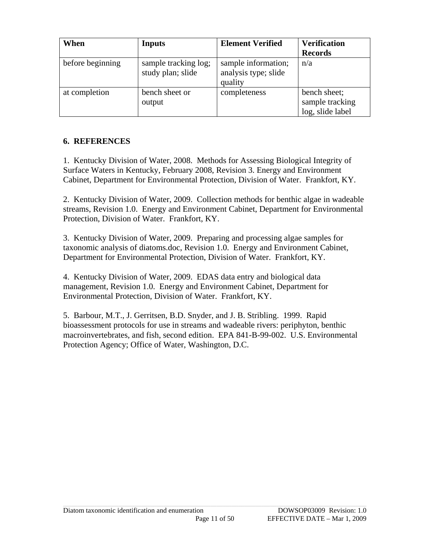<span id="page-10-0"></span>

| When             | <b>Inputs</b>                             | <b>Element Verified</b>                                | <b>Verification</b><br><b>Records</b>               |
|------------------|-------------------------------------------|--------------------------------------------------------|-----------------------------------------------------|
| before beginning | sample tracking log;<br>study plan; slide | sample information;<br>analysis type; slide<br>quality | n/a                                                 |
| at completion    | bench sheet or<br>output                  | completeness                                           | bench sheet;<br>sample tracking<br>log, slide label |

#### **6. REFERENCES**

1. Kentucky Division of Water, 2008. Methods for Assessing Biological Integrity of Surface Waters in Kentucky, February 2008, Revision 3. Energy and Environment Cabinet, Department for Environmental Protection, Division of Water. Frankfort, KY.

2. Kentucky Division of Water, 2009. Collection methods for benthic algae in wadeable streams, Revision 1.0. Energy and Environment Cabinet, Department for Environmental Protection, Division of Water. Frankfort, KY.

3. Kentucky Division of Water, 2009. Preparing and processing algae samples for taxonomic analysis of diatoms.doc, Revision 1.0. Energy and Environment Cabinet, Department for Environmental Protection, Division of Water. Frankfort, KY.

4. Kentucky Division of Water, 2009. EDAS data entry and biological data management, Revision 1.0. Energy and Environment Cabinet, Department for Environmental Protection, Division of Water. Frankfort, KY.

5. Barbour, M.T., J. Gerritsen, B.D. Snyder, and J. B. Stribling. 1999. Rapid bioassessment protocols for use in streams and wadeable rivers: periphyton, benthic macroinvertebrates, and fish, second edition. EPA 841-B-99-002. U.S. Environmental Protection Agency; Office of Water, Washington, D.C.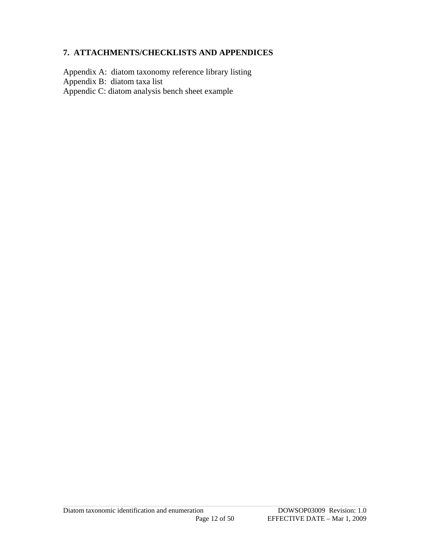#### <span id="page-11-0"></span>**7. ATTACHMENTS/CHECKLISTS AND APPENDICES**

Appendix A: diatom taxonomy reference library listing Appendix B: diatom taxa list Appendic C: diatom analysis bench sheet example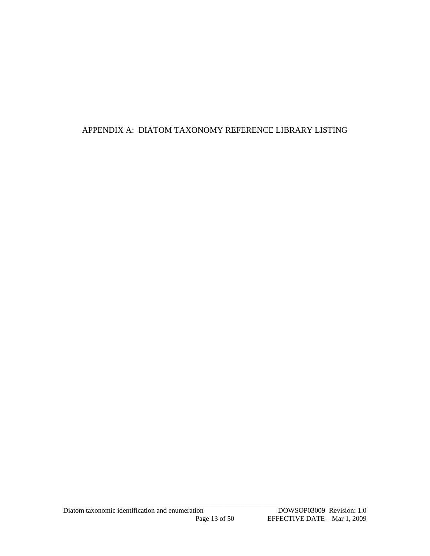#### <span id="page-12-0"></span>APPENDIX A: DIATOM TAXONOMY REFERENCE LIBRARY LISTING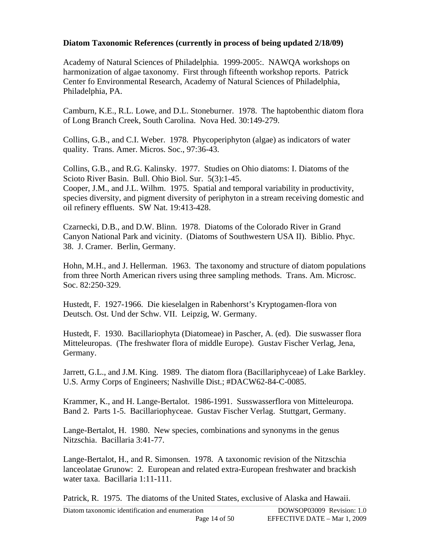#### **Diatom Taxonomic References (currently in process of being updated 2/18/09)**

Academy of Natural Sciences of Philadelphia. 1999-2005:. NAWQA workshops on harmonization of algae taxonomy. First through fifteenth workshop reports. Patrick Center fo Environmental Research, Academy of Natural Sciences of Philadelphia, Philadelphia, PA.

Camburn, K.E., R.L. Lowe, and D.L. Stoneburner. 1978. The haptobenthic diatom flora of Long Branch Creek, South Carolina. Nova Hed. 30:149-279.

Collins, G.B., and C.I. Weber. 1978. Phycoperiphyton (algae) as indicators of water quality. Trans. Amer. Micros. Soc., 97:36-43.

Collins, G.B., and R.G. Kalinsky. 1977. Studies on Ohio diatoms: I. Diatoms of the Scioto River Basin. Bull. Ohio Biol. Sur. 5(3):1-45. Cooper, J.M., and J.L. Wilhm. 1975. Spatial and temporal variability in productivity,

species diversity, and pigment diversity of periphyton in a stream receiving domestic and oil refinery effluents. SW Nat. 19:413-428.

Czarnecki, D.B., and D.W. Blinn. 1978. Diatoms of the Colorado River in Grand Canyon National Park and vicinity. (Diatoms of Southwestern USA II). Biblio. Phyc. 38. J. Cramer. Berlin, Germany.

Hohn, M.H., and J. Hellerman. 1963. The taxonomy and structure of diatom populations from three North American rivers using three sampling methods. Trans. Am. Microsc. Soc. 82:250-329.

Hustedt, F. 1927-1966. Die kieselalgen in Rabenhorst's Kryptogamen-flora von Deutsch. Ost. Und der Schw. VII. Leipzig, W. Germany.

Hustedt, F. 1930. Bacillariophyta (Diatomeae) in Pascher, A. (ed). Die suswasser flora Mitteleuropas. (The freshwater flora of middle Europe). Gustav Fischer Verlag, Jena, Germany.

Jarrett, G.L., and J.M. King. 1989. The diatom flora (Bacillariphyceae) of Lake Barkley. U.S. Army Corps of Engineers; Nashville Dist.; #DACW62-84-C-0085.

Krammer, K., and H. Lange-Bertalot. 1986-1991. Susswasserflora von Mitteleuropa. Band 2. Parts 1-5. Bacillariophyceae. Gustav Fischer Verlag. Stuttgart, Germany.

Lange-Bertalot, H. 1980. New species, combinations and synonyms in the genus Nitzschia. Bacillaria 3:41-77.

Lange-Bertalot, H., and R. Simonsen. 1978. A taxonomic revision of the Nitzschia lanceolatae Grunow: 2. European and related extra-European freshwater and brackish water taxa. Bacillaria 1:11-111.

Patrick, R. 1975. The diatoms of the United States, exclusive of Alaska and Hawaii.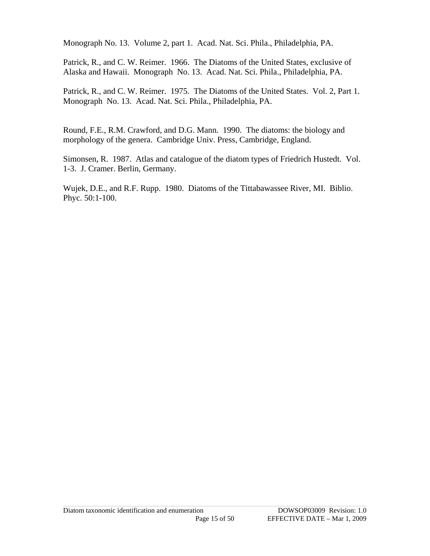Monograph No. 13. Volume 2, part 1. Acad. Nat. Sci. Phila., Philadelphia, PA.

Patrick, R., and C. W. Reimer. 1966. The Diatoms of the United States, exclusive of Alaska and Hawaii. Monograph No. 13. Acad. Nat. Sci. Phila., Philadelphia, PA.

Patrick, R., and C. W. Reimer. 1975. The Diatoms of the United States. Vol. 2, Part 1. Monograph No. 13. Acad. Nat. Sci. Phila., Philadelphia, PA.

Round, F.E., R.M. Crawford, and D.G. Mann. 1990. The diatoms: the biology and morphology of the genera. Cambridge Univ. Press, Cambridge, England.

Simonsen, R. 1987. Atlas and catalogue of the diatom types of Friedrich Hustedt. Vol. 1-3. J. Cramer. Berlin, Germany.

Wujek, D.E., and R.F. Rupp. 1980. Diatoms of the Tittabawassee River, MI. Biblio. Phyc. 50:1-100.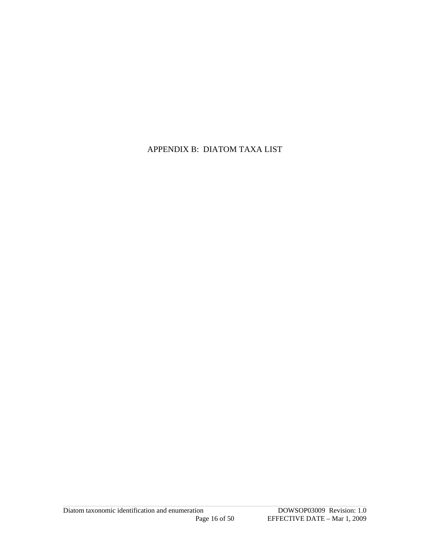<span id="page-15-0"></span>APPENDIX B: DIATOM TAXA LIST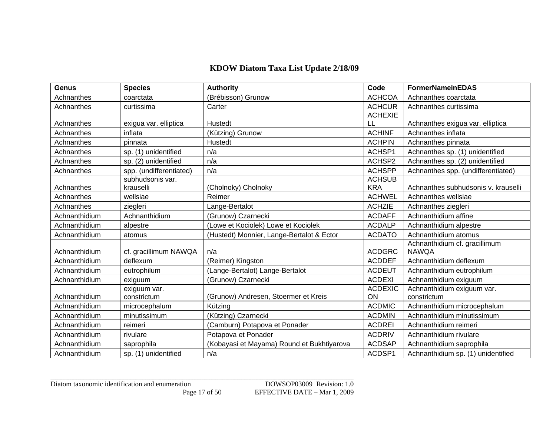#### **KDOW Diatom Taxa List Update 2/18/09**

| <b>Genus</b>  | <b>Species</b>          | <b>Authority</b>                           | Code           | <b>FormerNameinEDAS</b>             |
|---------------|-------------------------|--------------------------------------------|----------------|-------------------------------------|
| Achnanthes    | coarctata               | (Brébisson) Grunow                         | <b>ACHCOA</b>  | Achnanthes coarctata                |
| Achnanthes    | curtissima              | Carter                                     | <b>ACHCUR</b>  | Achnanthes curtissima               |
|               |                         |                                            | <b>ACHEXIE</b> |                                     |
| Achnanthes    | exigua var. elliptica   | Hustedt                                    | LL             | Achnanthes exigua var. elliptica    |
| Achnanthes    | inflata                 | (Kützing) Grunow                           | <b>ACHINF</b>  | Achnanthes inflata                  |
| Achnanthes    | pinnata                 | Hustedt                                    | <b>ACHPIN</b>  | Achnanthes pinnata                  |
| Achnanthes    | sp. (1) unidentified    | n/a                                        | ACHSP1         | Achnanthes sp. (1) unidentified     |
| Achnanthes    | sp. (2) unidentified    | n/a                                        | ACHSP2         | Achnanthes sp. (2) unidentified     |
| Achnanthes    | spp. (undifferentiated) | n/a                                        | <b>ACHSPP</b>  | Achnanthes spp. (undifferentiated)  |
|               | subhudsonis var.        |                                            | <b>ACHSUB</b>  |                                     |
| Achnanthes    | krauselli               | (Cholnoky) Cholnoky                        | <b>KRA</b>     | Achnanthes subhudsonis v. krauselli |
| Achnanthes    | wellsiae                | Reimer                                     | <b>ACHWEL</b>  | Achnanthes wellsiae                 |
| Achnanthes    | ziegleri                | Lange-Bertalot                             | <b>ACHZIE</b>  | Achnanthes ziegleri                 |
| Achnanthidium | Achnanthidium           | (Grunow) Czarnecki                         | <b>ACDAFF</b>  | Achnanthidium affine                |
| Achnanthidium | alpestre                | (Lowe et Kociolek) Lowe et Kociolek        | <b>ACDALP</b>  | Achnanthidium alpestre              |
| Achnanthidium | atomus                  | (Hustedt) Monnier, Lange-Bertalot & Ector  | <b>ACDATO</b>  | Achnanthidium atomus                |
|               |                         |                                            |                | Achnanthidium cf. gracillimum       |
| Achnanthidium | cf. gracillimum NAWQA   | n/a                                        | <b>ACDGRC</b>  | <b>NAWQA</b>                        |
| Achnanthidium | deflexum                | (Reimer) Kingston                          | <b>ACDDEF</b>  | Achnanthidium deflexum              |
| Achnanthidium | eutrophilum             | (Lange-Bertalot) Lange-Bertalot            | <b>ACDEUT</b>  | Achnanthidium eutrophilum           |
| Achnanthidium | exiguum                 | (Grunow) Czarnecki                         | <b>ACDEXI</b>  | Achnanthidium exiguum               |
|               | exiguum var.            |                                            | <b>ACDEXIC</b> | Achnanthidium exiguum var.          |
| Achnanthidium | constrictum             | (Grunow) Andresen, Stoermer et Kreis       | ON             | constrictum                         |
| Achnanthidium | microcephalum           | Kützing                                    | <b>ACDMIC</b>  | Achnanthidium microcephalum         |
| Achnanthidium | minutissimum            | (Kützing) Czarnecki                        | <b>ACDMIN</b>  | Achnanthidium minutissimum          |
| Achnanthidium | reimeri                 | (Camburn) Potapova et Ponader              | <b>ACDREI</b>  | Achnanthidium reimeri               |
| Achnanthidium | rivulare                | Potapova et Ponader                        | <b>ACDRIV</b>  | Achnanthidium rivulare              |
| Achnanthidium | saprophila              | (Kobayasi et Mayama) Round et Bukhtiyarova | <b>ACDSAP</b>  | Achnanthidium saprophila            |
| Achnanthidium | sp. (1) unidentified    | n/a                                        | ACDSP1         | Achnanthidium sp. (1) unidentified  |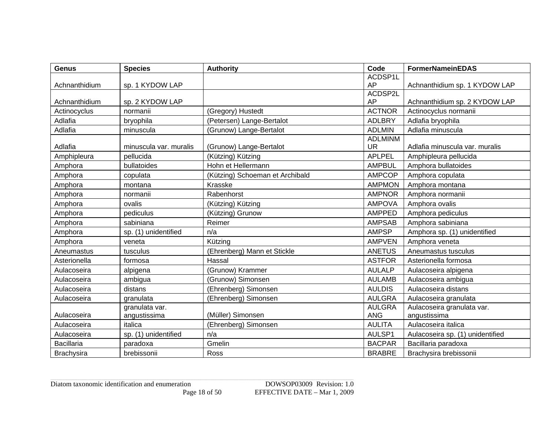| <b>Genus</b>      | <b>Species</b>         | <b>Authority</b>                | Code           | <b>FormerNameinEDAS</b>          |
|-------------------|------------------------|---------------------------------|----------------|----------------------------------|
|                   |                        |                                 | ACDSP1L        |                                  |
| Achnanthidium     | sp. 1 KYDOW LAP        |                                 | AP             | Achnanthidium sp. 1 KYDOW LAP    |
|                   |                        |                                 | ACDSP2L        |                                  |
| Achnanthidium     | sp. 2 KYDOW LAP        |                                 | AP             | Achnanthidium sp. 2 KYDOW LAP    |
| Actinocyclus      | normanii               | (Gregory) Hustedt               | <b>ACTNOR</b>  | Actinocyclus normanii            |
| Adlafia           | bryophila              | (Petersen) Lange-Bertalot       | <b>ADLBRY</b>  | Adlafia bryophila                |
| Adlafia           | minuscula              | (Grunow) Lange-Bertalot         | <b>ADLMIN</b>  | Adlafia minuscula                |
|                   |                        |                                 | <b>ADLMINM</b> |                                  |
| Adlafia           | minuscula var. muralis | (Grunow) Lange-Bertalot         | <b>UR</b>      | Adlafia minuscula var. muralis   |
| Amphipleura       | pellucida              | (Kützing) Kützing               | <b>APLPEL</b>  | Amphipleura pellucida            |
| Amphora           | bullatoides            | Hohn et Hellermann              | <b>AMPBUL</b>  | Amphora bullatoides              |
| Amphora           | copulata               | (Kützing) Schoeman et Archibald | <b>AMPCOP</b>  | Amphora copulata                 |
| Amphora           | montana                | Krasske                         | <b>AMPMON</b>  | Amphora montana                  |
| Amphora           | normanii               | Rabenhorst                      | <b>AMPNOR</b>  | Amphora normanii                 |
| Amphora           | ovalis                 | (Kützing) Kützing               | <b>AMPOVA</b>  | Amphora ovalis                   |
| Amphora           | pediculus              | (Kützing) Grunow                | <b>AMPPED</b>  | Amphora pediculus                |
| Amphora           | sabiniana              | Reimer                          | <b>AMPSAB</b>  | Amphora sabiniana                |
| Amphora           | sp. (1) unidentified   | n/a                             | <b>AMPSP</b>   | Amphora sp. (1) unidentified     |
| Amphora           | veneta                 | Kützing                         | <b>AMPVEN</b>  | Amphora veneta                   |
| Aneumastus        | tusculus               | (Ehrenberg) Mann et Stickle     | <b>ANETUS</b>  | Aneumastus tusculus              |
| Asterionella      | formosa                | Hassal                          | <b>ASTFOR</b>  | Asterionella formosa             |
| Aulacoseira       | alpigena               | (Grunow) Krammer                | <b>AULALP</b>  | Aulacoseira alpigena             |
| Aulacoseira       | ambigua                | (Grunow) Simonsen               | <b>AULAMB</b>  | Aulacoseira ambigua              |
| Aulacoseira       | distans                | (Ehrenberg) Simonsen            | <b>AULDIS</b>  | Aulacoseira distans              |
| Aulacoseira       | granulata              | (Ehrenberg) Simonsen            | <b>AULGRA</b>  | Aulacoseira granulata            |
|                   | granulata var.         |                                 | <b>AULGRA</b>  | Aulacoseira granulata var.       |
| Aulacoseira       | angustissima           | (Müller) Simonsen               | <b>ANG</b>     | angustissima                     |
| Aulacoseira       | italica                | (Ehrenberg) Simonsen            | <b>AULITA</b>  | Aulacoseira italica              |
| Aulacoseira       | sp. (1) unidentified   | n/a                             | AULSP1         | Aulacoseira sp. (1) unidentified |
| <b>Bacillaria</b> | paradoxa               | Gmelin                          | <b>BACPAR</b>  | Bacillaria paradoxa              |
| <b>Brachysira</b> | brebissonii            | Ross                            | <b>BRABRE</b>  | Brachysira brebissonii           |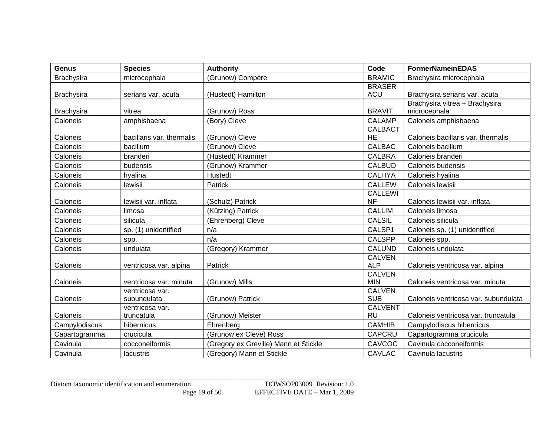| <b>Genus</b>      | <b>Species</b>            | <b>Authority</b>                      | Code                        | <b>FormerNameinEDAS</b>              |
|-------------------|---------------------------|---------------------------------------|-----------------------------|--------------------------------------|
| <b>Brachysira</b> | microcephala              | (Grunow) Compère                      | <b>BRAMIC</b>               | Brachysira microcephala              |
|                   |                           |                                       | <b>BRASER</b>               |                                      |
| <b>Brachysira</b> | serians var. acuta        | (Hustedt) Hamilton                    | <b>ACU</b>                  | Brachysira serians var. acuta        |
|                   |                           |                                       |                             | Brachysira vitrea + Brachysira       |
| <b>Brachysira</b> | vitrea                    | (Grunow) Ross                         | <b>BRAVIT</b>               | microcephala                         |
| Caloneis          | amphisbaena               | (Bory) Cleve                          | <b>CALAMP</b>               | Caloneis amphisbaena                 |
|                   |                           |                                       | <b>CALBACT</b>              |                                      |
| Caloneis          | bacillaris var. thermalis | (Grunow) Cleve                        | <b>HE</b>                   | Caloneis bacillaris var. thermalis   |
| Caloneis          | bacillum                  | (Grunow) Cleve                        | <b>CALBAC</b>               | Caloneis bacillum                    |
| Caloneis          | branderi                  | (Hustedt) Krammer                     | <b>CALBRA</b>               | Caloneis branderi                    |
| Caloneis          | budensis                  | (Grunow) Krammer                      | <b>CALBUD</b>               | Caloneis budensis                    |
| Caloneis          | hyalina                   | Hustedt                               | <b>CALHYA</b>               | Caloneis hyalina                     |
| Caloneis          | lewisii                   | Patrick                               | <b>CALLEW</b>               | Caloneis lewisii                     |
|                   |                           |                                       | <b>CALLEWI</b>              |                                      |
| Caloneis          | lewisii var. inflata      | (Schulz) Patrick                      | <b>NF</b>                   | Caloneis lewisii var. inflata        |
| Caloneis          | limosa                    | (Kützing) Patrick                     | <b>CALLIM</b>               | Caloneis limosa                      |
| Caloneis          | silicula                  | (Ehrenberg) Cleve                     | <b>CALSIL</b>               | Caloneis silicula                    |
| Caloneis          | sp. (1) unidentified      | n/a                                   | CALSP1                      | Caloneis sp. (1) unidentified        |
| Caloneis          | spp.                      | n/a                                   | <b>CALSPP</b>               | Caloneis spp.                        |
| Caloneis          | undulata                  | (Gregory) Krammer                     | <b>CALUND</b>               | Caloneis undulata                    |
|                   |                           |                                       | <b>CALVEN</b>               |                                      |
| Caloneis          | ventricosa var. alpina    | Patrick                               | <b>ALP</b>                  | Caloneis ventricosa var. alpina      |
|                   |                           |                                       | <b>CALVEN</b>               |                                      |
| Caloneis          | ventricosa var. minuta    | (Grunow) Mills                        | <b>MIN</b>                  | Caloneis ventricosa var. minuta      |
|                   | ventricosa var.           |                                       | <b>CALVEN</b>               |                                      |
| Caloneis          | subundulata               | (Grunow) Patrick                      | <b>SUB</b>                  | Caloneis ventricosa var. subundulata |
| Caloneis          | ventricosa var.           | (Grunow) Meister                      | <b>CALVENT</b><br><b>RU</b> | Caloneis ventricosa var. truncatula  |
|                   | truncatula                |                                       |                             |                                      |
| Campylodiscus     | hibernicus                | Ehrenberg                             | <b>CAMHIB</b>               | Campylodiscus hibernicus             |
| Capartogramma     | crucicula                 | (Grunow ex Cleve) Ross                | <b>CAPCRU</b>               | Capartogramma crucicula              |
| Cavinula          | cocconeiformis            | (Gregory ex Greville) Mann et Stickle | CAVCOC                      | Cavinula cocconeiformis              |
| Cavinula          | lacustris                 | (Gregory) Mann et Stickle             | <b>CAVLAC</b>               | Cavinula lacustris                   |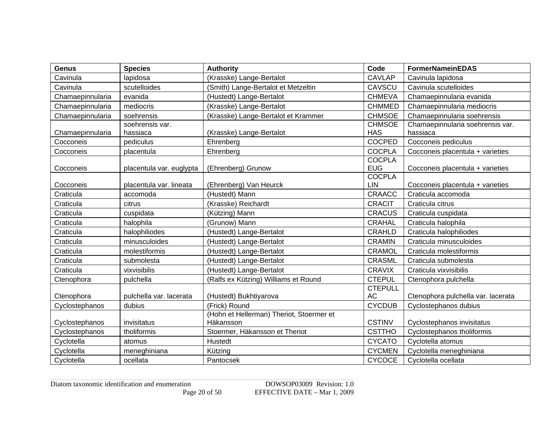| <b>Genus</b>     | <b>Species</b>           | <b>Authority</b>                                      | Code                        | <b>FormerNameinEDAS</b>            |
|------------------|--------------------------|-------------------------------------------------------|-----------------------------|------------------------------------|
| Cavinula         | lapidosa                 | (Krasske) Lange-Bertalot                              | <b>CAVLAP</b>               | Cavinula lapidosa                  |
| Cavinula         | scutelloides             | (Smith) Lange-Bertalot et Metzeltin                   | CAVSCU                      | Cavinula scutelloides              |
| Chamaepinnularia | evanida                  | (Hustedt) Lange-Bertalot                              | <b>CHMEVA</b>               | Chamaepinnularia evanida           |
| Chamaepinnularia | mediocris                | (Krasske) Lange-Bertalot                              | <b>CHMMED</b>               | Chamaepinnularia mediocris         |
| Chamaepinnularia | soehrensis               | (Krasske) Lange-Bertalot et Krammer                   | <b>CHMSOE</b>               | Chamaepinnularia soehrensis        |
|                  | soehrensis var.          |                                                       | <b>CHMSOE</b>               | Chamaepinnularia soehrensis var.   |
| Chamaepinnularia | hassiaca                 | (Krasske) Lange-Bertalot                              | <b>HAS</b>                  | hassiaca                           |
| Cocconeis        | pediculus                | Ehrenberg                                             | <b>COCPED</b>               | Cocconeis pediculus                |
| Cocconeis        | placentula               | Ehrenberg                                             | <b>COCPLA</b>               | Cocconeis placentula + varieties   |
| Cocconeis        | placentula var. euglypta | (Ehrenberg) Grunow                                    | <b>COCPLA</b><br><b>EUG</b> | Cocconeis placentula + varieties   |
| Cocconeis        | placentula var. lineata  | (Ehrenberg) Van Heurck                                | <b>COCPLA</b><br><b>LIN</b> | Cocconeis placentula + varieties   |
| Craticula        | accomoda                 | (Hustedt) Mann                                        | CRAACC                      | Craticula accomoda                 |
| Craticula        | citrus                   | (Krasske) Reichardt                                   | <b>CRACIT</b>               | Craticula citrus                   |
| Craticula        | cuspidata                | (Kützing) Mann                                        | <b>CRACUS</b>               | Craticula cuspidata                |
| Craticula        | halophila                | (Grunow) Mann                                         | CRAHAL                      | Craticula halophila                |
| Craticula        | halophiliodes            | (Hustedt) Lange-Bertalot                              | <b>CRAHLD</b>               | Craticula halophiliodes            |
| Craticula        | minusculoides            | (Hustedt) Lange-Bertalot                              | <b>CRAMIN</b>               | Craticula minusculoides            |
| Craticula        | molestiformis            | (Hustedt) Lange-Bertalot                              | CRAMOL                      | Craticula molestiformis            |
| Craticula        | submolesta               | (Hustedt) Lange-Bertalot                              | CRASML                      | Craticula submolesta               |
| Craticula        | vixvisibilis             | (Hustedt) Lange-Bertalot                              | <b>CRAVIX</b>               | Craticula vixvisibilis             |
| Ctenophora       | pulchella                | (Ralfs ex Kützing) Williams et Round                  | <b>CTEPUL</b>               | Ctenophora pulchella               |
| Ctenophora       | pulchella var. lacerata  | (Hustedt) Bukhtiyarova                                | <b>CTEPULL</b><br><b>AC</b> | Ctenophora pulchella var. lacerata |
| Cyclostephanos   | dubius                   | (Frick) Round                                         | <b>CYCDUB</b>               | Cyclostephanos dubius              |
| Cyclostephanos   | invisitatus              | (Hohn et Hellerman) Theriot, Stoermer et<br>Häkansson | <b>CSTINV</b>               | Cyclostephanos invisitatus         |
| Cyclostephanos   | tholiformis              | Stoermer, Häkansson et Theriot                        | <b>CSTTHO</b>               | Cyclostephanos tholiformis         |
| Cyclotella       | atomus                   | Hustedt                                               | <b>CYCATO</b>               | Cyclotella atomus                  |
| Cyclotella       | meneghiniana             | Kützing                                               | <b>CYCMEN</b>               | Cyclotella meneghiniana            |
| Cyclotella       | ocellata                 | Pantocsek                                             | <b>CYCOCE</b>               | Cyclotella ocellata                |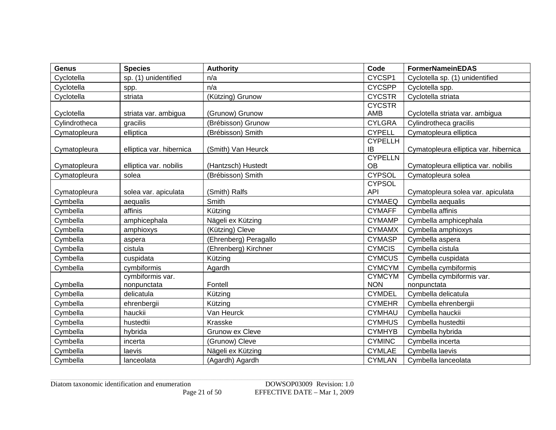| <b>Genus</b>  | <b>Species</b>           | <b>Authority</b>       | Code                 | <b>FormerNameinEDAS</b>               |
|---------------|--------------------------|------------------------|----------------------|---------------------------------------|
| Cyclotella    | sp. (1) unidentified     | n/a                    | CYCSP1               | Cyclotella sp. (1) unidentified       |
| Cyclotella    | spp.                     | n/a                    | <b>CYCSPP</b>        | Cyclotella spp.                       |
| Cyclotella    | striata                  | (Kützing) Grunow       | <b>CYCSTR</b>        | Cyclotella striata                    |
|               |                          |                        | <b>CYCSTR</b>        |                                       |
| Cyclotella    | striata var. ambigua     | (Grunow) Grunow        | AMB                  | Cyclotella striata var. ambigua       |
| Cylindrotheca | gracilis                 | (Brébisson) Grunow     | <b>CYLGRA</b>        | Cylindrotheca gracilis                |
| Cymatopleura  | elliptica                | (Brébisson) Smith      | <b>CYPELL</b>        | Cymatopleura elliptica                |
|               |                          |                        | <b>CYPELLH</b>       |                                       |
| Cymatopleura  | elliptica var. hibernica | (Smith) Van Heurck     | ΙB                   | Cymatopleura elliptica var. hibernica |
| Cymatopleura  | elliptica var. nobilis   | (Hantzsch) Hustedt     | <b>CYPELLN</b><br>OВ | Cymatopleura elliptica var. nobilis   |
| Cymatopleura  | solea                    | (Brébisson) Smith      | <b>CYPSOL</b>        | Cymatopleura solea                    |
|               |                          |                        | <b>CYPSOL</b>        |                                       |
| Cymatopleura  | solea var. apiculata     | (Smith) Ralfs          | <b>API</b>           | Cymatopleura solea var. apiculata     |
| Cymbella      | aequalis                 | Smith                  | <b>CYMAEQ</b>        | Cymbella aequalis                     |
| Cymbella      | affinis                  | Kützing                | <b>CYMAFF</b>        | Cymbella affinis                      |
| Cymbella      | amphicephala             | Nägeli ex Kützing      | <b>CYMAMP</b>        | Cymbella amphicephala                 |
| Cymbella      | amphioxys                | (Kützing) Cleve        | <b>CYMAMX</b>        | Cymbella amphioxys                    |
| Cymbella      | aspera                   | (Ehrenberg) Peragallo  | <b>CYMASP</b>        | Cymbella aspera                       |
| Cymbella      | cistula                  | (Ehrenberg) Kirchner   | <b>CYMCIS</b>        | Cymbella cistula                      |
| Cymbella      | cuspidata                | Kützing                | <b>CYMCUS</b>        | Cymbella cuspidata                    |
| Cymbella      | cymbiformis              | Agardh                 | <b>CYMCYM</b>        | Cymbella cymbiformis                  |
|               | cymbiformis var.         |                        | <b>CYMCYM</b>        | Cymbella cymbiformis var.             |
| Cymbella      | nonpunctata              | Fontell                | <b>NON</b>           | nonpunctata                           |
| Cymbella      | delicatula               | Kützing                | <b>CYMDEL</b>        | Cymbella delicatula                   |
| Cymbella      | ehrenbergii              | Kützing                | <b>CYMEHR</b>        | Cymbella ehrenbergii                  |
| Cymbella      | hauckii                  | Van Heurck             | <b>CYMHAU</b>        | Cymbella hauckii                      |
| Cymbella      | hustedtii                | Krasske                | <b>CYMHUS</b>        | Cymbella hustedtii                    |
| Cymbella      | hybrida                  | <b>Grunow ex Cleve</b> | <b>CYMHYB</b>        | Cymbella hybrida                      |
| Cymbella      | incerta                  | (Grunow) Cleve         | <b>CYMINC</b>        | Cymbella incerta                      |
| Cymbella      | laevis                   | Nägeli ex Kützing      | <b>CYMLAE</b>        | Cymbella laevis                       |
| Cymbella      | lanceolata               | (Agardh) Agardh        | <b>CYMLAN</b>        | Cymbella lanceolata                   |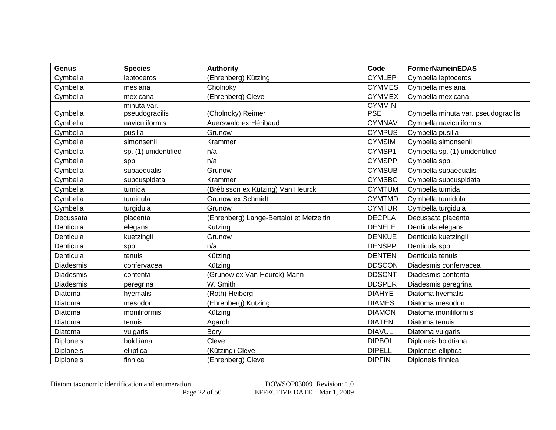| <b>Genus</b>     | <b>Species</b>       | <b>Authority</b>                        | Code          | <b>FormerNameinEDAS</b>             |
|------------------|----------------------|-----------------------------------------|---------------|-------------------------------------|
| Cymbella         | leptoceros           | (Ehrenberg) Kützing                     | <b>CYMLEP</b> | Cymbella leptoceros                 |
| Cymbella         | mesiana              | Cholnoky                                | <b>CYMMES</b> | Cymbella mesiana                    |
| Cymbella         | mexicana             | (Ehrenberg) Cleve                       | <b>CYMMEX</b> | Cymbella mexicana                   |
|                  | minuta var.          |                                         | <b>CYMMIN</b> |                                     |
| Cymbella         | pseudogracilis       | (Cholnoky) Reimer                       | <b>PSE</b>    | Cymbella minuta var. pseudogracilis |
| Cymbella         | naviculiformis       | Auerswald ex Héribaud                   | <b>CYMNAV</b> | Cymbella naviculiformis             |
| Cymbella         | pusilla              | Grunow                                  | <b>CYMPUS</b> | Cymbella pusilla                    |
| Cymbella         | simonsenii           | Krammer                                 | <b>CYMSIM</b> | Cymbella simonsenii                 |
| Cymbella         | sp. (1) unidentified | n/a                                     | CYMSP1        | Cymbella sp. (1) unidentified       |
| Cymbella         | spp.                 | n/a                                     | <b>CYMSPP</b> | Cymbella spp.                       |
| Cymbella         | subaequalis          | Grunow                                  | <b>CYMSUB</b> | Cymbella subaequalis                |
| Cymbella         | subcuspidata         | Krammer                                 | <b>CYMSBC</b> | Cymbella subcuspidata               |
| Cymbella         | tumida               | (Brébisson ex Kützing) Van Heurck       | <b>CYMTUM</b> | Cymbella tumida                     |
| Cymbella         | tumidula             | <b>Grunow ex Schmidt</b>                | <b>CYMTMD</b> | Cymbella tumidula                   |
| Cymbella         | turgidula            | Grunow                                  | <b>CYMTUR</b> | Cymbella turgidula                  |
| Decussata        | placenta             | (Ehrenberg) Lange-Bertalot et Metzeltin | <b>DECPLA</b> | Decussata placenta                  |
| Denticula        | elegans              | Kützing                                 | <b>DENELE</b> | Denticula elegans                   |
| Denticula        | kuetzingii           | Grunow                                  | <b>DENKUE</b> | Denticula kuetzingii                |
| Denticula        | spp.                 | n/a                                     | <b>DENSPP</b> | Denticula spp.                      |
| Denticula        | tenuis               | Kützing                                 | <b>DENTEN</b> | Denticula tenuis                    |
| Diadesmis        | confervacea          | Kützing                                 | <b>DDSCON</b> | Diadesmis confervacea               |
| Diadesmis        | contenta             | (Grunow ex Van Heurck) Mann             | <b>DDSCNT</b> | Diadesmis contenta                  |
| <b>Diadesmis</b> | peregrina            | W. Smith                                | <b>DDSPER</b> | Diadesmis peregrina                 |
| Diatoma          | hyemalis             | (Roth) Heiberg                          | <b>DIAHYE</b> | Diatoma hyemalis                    |
| Diatoma          | mesodon              | (Ehrenberg) Kützing                     | <b>DIAMES</b> | Diatoma mesodon                     |
| Diatoma          | moniliformis         | Kützing                                 | <b>DIAMON</b> | Diatoma moniliformis                |
| Diatoma          | tenuis               | Agardh                                  | <b>DIATEN</b> | Diatoma tenuis                      |
| Diatoma          | vulgaris             | Bory                                    | <b>DIAVUL</b> | Diatoma vulgaris                    |
| <b>Diploneis</b> | boldtiana            | Cleve                                   | <b>DIPBOL</b> | Diploneis boldtiana                 |
| <b>Diploneis</b> | elliptica            | (Kützing) Cleve                         | <b>DIPELL</b> | Diploneis elliptica                 |
| <b>Diploneis</b> | finnica              | (Ehrenberg) Cleve                       | <b>DIPFIN</b> | Diploneis finnica                   |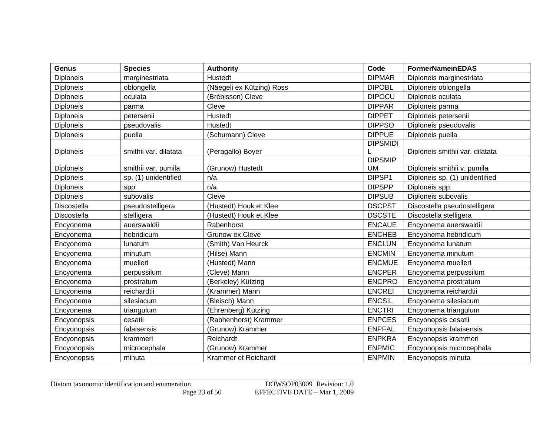| <b>Genus</b>     | <b>Species</b>        | <b>Authority</b>          | Code                        | <b>FormerNameinEDAS</b>         |
|------------------|-----------------------|---------------------------|-----------------------------|---------------------------------|
| <b>Diploneis</b> | marginestriata        | Hustedt                   | <b>DIPMAR</b>               | Diploneis marginestriata        |
| <b>Diploneis</b> | oblongella            | (Näegeli ex Kützing) Ross | <b>DIPOBL</b>               | Diploneis oblongella            |
| <b>Diploneis</b> | oculata               | (Brébisson) Cleve         | <b>DIPOCU</b>               | Diploneis oculata               |
| <b>Diploneis</b> | parma                 | Cleve                     | <b>DIPPAR</b>               | Diploneis parma                 |
| <b>Diploneis</b> | petersenii            | Hustedt                   | <b>DIPPET</b>               | Diploneis petersenii            |
| <b>Diploneis</b> | pseudovalis           | Hustedt                   | <b>DIPPSO</b>               | Diploneis pseudovalis           |
| <b>Diploneis</b> | puella                | (Schumann) Cleve          | <b>DIPPUE</b>               | Diploneis puella                |
|                  |                       |                           | <b>DIPSMIDI</b>             |                                 |
| <b>Diploneis</b> | smithii var. dilatata | (Peragallo) Boyer         |                             | Diploneis smithii var. dilatata |
|                  |                       |                           | <b>DIPSMIP</b><br><b>UM</b> |                                 |
| <b>Diploneis</b> | smithii var. pumila   | (Grunow) Hustedt<br>n/a   | DIPSP1                      | Diploneis smithii v. pumila     |
| <b>Diploneis</b> | sp. (1) unidentified  |                           |                             | Diploneis sp. (1) unidentified  |
| <b>Diploneis</b> | spp.                  | n/a                       | <b>DIPSPP</b>               | Diploneis spp.                  |
| <b>Diploneis</b> | subovalis             | Cleve                     | <b>DIPSUB</b>               | Diploneis subovalis             |
| Discostella      | pseudostelligera      | (Hustedt) Houk et Klee    | <b>DSCPST</b>               | Discostella pseudostelligera    |
| Discostella      | stelligera            | (Hustedt) Houk et Klee    | <b>DSCSTE</b>               | Discostella stelligera          |
| Encyonema        | auerswaldii           | Rabenhorst                | <b>ENCAUE</b>               | Encyonema auerswaldii           |
| Encyonema        | hebridicum            | <b>Grunow ex Cleve</b>    | <b>ENCHEB</b>               | Encyonema hebridicum            |
| Encyonema        | lunatum               | (Smith) Van Heurck        | <b>ENCLUN</b>               | Encyonema lunatum               |
| Encyonema        | minutum               | (Hilse) Mann              | <b>ENCMIN</b>               | Encyonema minutum               |
| Encyonema        | muelleri              | (Hustedt) Mann            | <b>ENCMUE</b>               | Encyonema muelleri              |
| Encyonema        | perpussilum           | (Cleve) Mann              | <b>ENCPER</b>               | Encyonema perpussilum           |
| Encyonema        | prostratum            | (Berkeley) Kützing        | <b>ENCPRO</b>               | Encyonema prostratum            |
| Encyonema        | reichardtii           | (Krammer) Mann            | <b>ENCREI</b>               | Encyonema reichardtii           |
| Encyonema        | silesiacum            | (Bleisch) Mann            | <b>ENCSIL</b>               | Encyonema silesiacum            |
| Encyonema        | triangulum            | (Ehrenberg) Kützing       | <b>ENCTRI</b>               | Encyonema triangulum            |
| Encyonopsis      | cesatii               | (Rabhenhorst) Krammer     | <b>ENPCES</b>               | Encyonopsis cesatii             |
| Encyonopsis      | falaisensis           | (Grunow) Krammer          | <b>ENPFAL</b>               | Encyonopsis falaisensis         |
| Encyonopsis      | krammeri              | Reichardt                 | <b>ENPKRA</b>               | Encyonopsis krammeri            |
| Encyonopsis      | microcephala          | (Grunow) Krammer          | <b>ENPMIC</b>               | Encyonopsis microcephala        |
| Encyonopsis      | minuta                | Krammer et Reichardt      | <b>ENPMIN</b>               | Encyonopsis minuta              |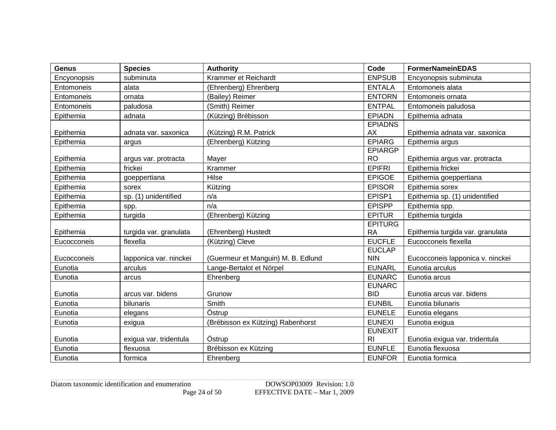| <b>Genus</b> | <b>Species</b>         | <b>Authority</b>                   | Code                             | <b>FormerNameinEDAS</b>          |
|--------------|------------------------|------------------------------------|----------------------------------|----------------------------------|
| Encyonopsis  | subminuta              | Krammer et Reichardt               | <b>ENPSUB</b>                    | Encyonopsis subminuta            |
| Entomoneis   | alata                  | (Ehrenberg) Ehrenberg              | <b>ENTALA</b>                    | Entomoneis alata                 |
| Entomoneis   | ornata                 | (Bailey) Reimer                    | <b>ENTORN</b>                    | Entomoneis ornata                |
| Entomoneis   | paludosa               | (Smith) Reimer                     | <b>ENTPAL</b>                    | Entomoneis paludosa              |
| Epithemia    | adnata                 | (Kützing) Brébisson                | <b>EPIADN</b>                    | Epithemia adnata                 |
| Epithemia    | adnata var. saxonica   | (Kützing) R.M. Patrick             | <b>EPIADNS</b><br>AX             | Epithemia adnata var. saxonica   |
| Epithemia    | argus                  | (Ehrenberg) Kützing                | <b>EPIARG</b>                    | Epithemia argus                  |
|              |                        |                                    | <b>EPIARGP</b>                   |                                  |
| Epithemia    | argus var. protracta   | Mayer                              | <b>RO</b>                        | Epithemia argus var. protracta   |
| Epithemia    | frickei                | Krammer                            | <b>EPIFRI</b>                    | Epithemia frickei                |
| Epithemia    | goeppertiana           | Hilse                              | <b>EPIGOE</b>                    | Epithemia goeppertiana           |
| Epithemia    | sorex                  | Kützing                            | <b>EPISOR</b>                    | Epithemia sorex                  |
| Epithemia    | sp. (1) unidentified   | n/a                                | EPISP1                           | Epithemia sp. (1) unidentified   |
| Epithemia    | spp.                   | n/a                                | <b>EPISPP</b>                    | Epithemia spp.                   |
| Epithemia    | turgida                | (Ehrenberg) Kützing                | <b>EPITUR</b>                    | Epithemia turgida                |
| Epithemia    | turgida var. granulata | (Ehrenberg) Hustedt                | <b>EPITURG</b><br><b>RA</b>      | Epithemia turgida var. granulata |
| Eucocconeis  | flexella               | (Kützing) Cleve                    | <b>EUCFLE</b>                    | Eucocconeis flexella             |
| Eucocconeis  | lapponica var. ninckei | (Guermeur et Manguin) M. B. Edlund | <b>EUCLAP</b><br><b>NIN</b>      | Eucocconeis lapponica v. ninckei |
| Eunotia      | arculus                | Lange-Bertalot et Nörpel           | <b>EUNARL</b>                    | Eunotia arculus                  |
| Eunotia      | arcus                  | Ehrenberg                          | <b>EUNARC</b>                    | Eunotia arcus                    |
| Eunotia      | arcus var. bidens      | Grunow                             | <b>EUNARC</b><br><b>BID</b>      | Eunotia arcus var. bidens        |
| Eunotia      | bilunaris              | Smith                              | <b>EUNBIL</b>                    | Eunotia bilunaris                |
| Eunotia      | elegans                | Östrup                             | <b>EUNELE</b>                    | Eunotia elegans                  |
| Eunotia      | exigua                 | (Brébisson ex Kützing) Rabenhorst  | <b>EUNEXI</b>                    | Eunotia exigua                   |
| Eunotia      | exigua var. tridentula | Östrup                             | <b>EUNEXIT</b><br>R <sub>l</sub> | Eunotia exigua var. tridentula   |
| Eunotia      | flexuosa               | Brébisson ex Kützing               | <b>EUNFLE</b>                    | Eunotia flexuosa                 |
| Eunotia      | formica                | Ehrenberg                          | <b>EUNFOR</b>                    | Eunotia formica                  |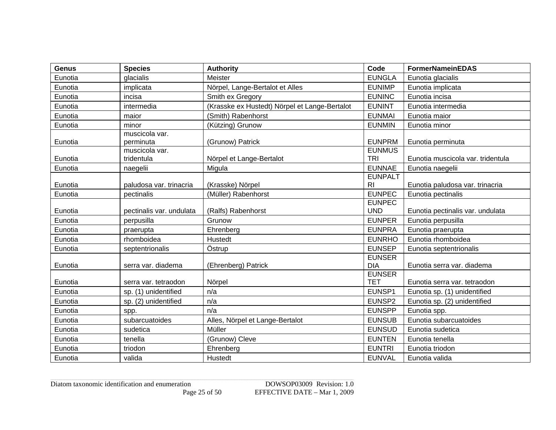| <b>Genus</b> | <b>Species</b>               | <b>Authority</b>                              | Code                        | <b>FormerNameinEDAS</b>           |
|--------------|------------------------------|-----------------------------------------------|-----------------------------|-----------------------------------|
| Eunotia      | glacialis                    | Meister                                       | <b>EUNGLA</b>               | Eunotia glacialis                 |
| Eunotia      | implicata                    | Nörpel, Lange-Bertalot et Alles               | <b>EUNIMP</b>               | Eunotia implicata                 |
| Eunotia      | incisa                       | Smith ex Gregory                              | <b>EUNINC</b>               | Eunotia incisa                    |
| Eunotia      | intermedia                   | (Krasske ex Hustedt) Nörpel et Lange-Bertalot | <b>EUNINT</b>               | Eunotia intermedia                |
| Eunotia      | maior                        | (Smith) Rabenhorst                            | <b>EUNMAI</b>               | Eunotia maior                     |
| Eunotia      | minor                        | (Kützing) Grunow                              | <b>EUNMIN</b>               | Eunotia minor                     |
| Eunotia      | muscicola var.<br>perminuta  | (Grunow) Patrick                              | <b>EUNPRM</b>               | Eunotia perminuta                 |
| Eunotia      | muscicola var.<br>tridentula | Nörpel et Lange-Bertalot                      | <b>EUNMUS</b><br><b>TRI</b> | Eunotia muscicola var. tridentula |
| Eunotia      | naegelii                     | Migula                                        | <b>EUNNAE</b>               | Eunotia naegelii                  |
| Eunotia      | paludosa var. trinacria      | (Krasske) Nörpel                              | <b>EUNPALT</b><br><b>RI</b> | Eunotia paludosa var. trinacria   |
| Eunotia      | pectinalis                   | (Müller) Rabenhorst                           | <b>EUNPEC</b>               | Eunotia pectinalis                |
| Eunotia      | pectinalis var. undulata     | (Ralfs) Rabenhorst                            | <b>EUNPEC</b><br><b>UND</b> | Eunotia pectinalis var. undulata  |
| Eunotia      | perpusilla                   | Grunow                                        | <b>EUNPER</b>               | Eunotia perpusilla                |
| Eunotia      | praerupta                    | Ehrenberg                                     | <b>EUNPRA</b>               | Eunotia praerupta                 |
| Eunotia      | rhomboidea                   | Hustedt                                       | <b>EUNRHO</b>               | Eunotia rhomboidea                |
| Eunotia      | septentrionalis              | Östrup                                        | <b>EUNSEP</b>               | Eunotia septentrionalis           |
| Eunotia      | serra var. diadema           | (Ehrenberg) Patrick                           | <b>EUNSER</b><br><b>DIA</b> | Eunotia serra var. diadema        |
| Eunotia      | serra var. tetraodon         | Nörpel                                        | <b>EUNSER</b><br><b>TET</b> | Eunotia serra var. tetraodon      |
| Eunotia      | sp. (1) unidentified         | n/a                                           | EUNSP1                      | Eunotia sp. (1) unidentified      |
| Eunotia      | sp. (2) unidentified         | n/a                                           | EUNSP2                      | Eunotia sp. (2) unidentified      |
| Eunotia      | spp.                         | n/a                                           | <b>EUNSPP</b>               | Eunotia spp.                      |
| Eunotia      | subarcuatoides               | Alles, Nörpel et Lange-Bertalot               | <b>EUNSUB</b>               | Eunotia subarcuatoides            |
| Eunotia      | sudetica                     | Müller                                        | <b>EUNSUD</b>               | Eunotia sudetica                  |
| Eunotia      | tenella                      | (Grunow) Cleve                                | <b>EUNTEN</b>               | Eunotia tenella                   |
| Eunotia      | triodon                      | Ehrenberg                                     | <b>EUNTRI</b>               | Eunotia triodon                   |
| Eunotia      | valida                       | Hustedt                                       | <b>EUNVAL</b>               | Eunotia valida                    |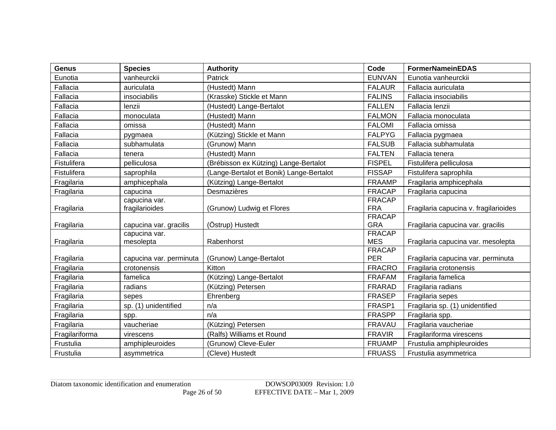| Genus          | <b>Species</b>                          | <b>Authority</b>                         | Code                        | <b>FormerNameinEDAS</b>               |
|----------------|-----------------------------------------|------------------------------------------|-----------------------------|---------------------------------------|
| Eunotia        | vanheurckii                             | Patrick                                  | <b>EUNVAN</b>               | Eunotia vanheurckii                   |
| Fallacia       | auriculata                              | (Hustedt) Mann                           | <b>FALAUR</b>               | Fallacia auriculata                   |
| Fallacia       | insociabilis                            | (Krasske) Stickle et Mann                | <b>FALINS</b>               | Fallacia insociabilis                 |
| Fallacia       | lenzii                                  | (Hustedt) Lange-Bertalot                 | <b>FALLEN</b>               | Fallacia lenzii                       |
| Fallacia       | monoculata                              | (Hustedt) Mann                           | <b>FALMON</b>               | Fallacia monoculata                   |
| Fallacia       | omissa                                  | (Hustedt) Mann                           | <b>FALOMI</b>               | Fallacia omissa                       |
| Fallacia       | pygmaea                                 | (Kützing) Stickle et Mann                | <b>FALPYG</b>               | Fallacia pygmaea                      |
| Fallacia       | subhamulata                             | (Grunow) Mann                            | <b>FALSUB</b>               | Fallacia subhamulata                  |
| Fallacia       | tenera                                  | (Hustedt) Mann                           | <b>FALTEN</b>               | Fallacia tenera                       |
| Fistulifera    | pelliculosa                             | (Brébisson ex Kützing) Lange-Bertalot    | <b>FISPEL</b>               | Fistulifera pelliculosa               |
| Fistulifera    | saprophila                              | (Lange-Bertalot et Bonik) Lange-Bertalot | <b>FISSAP</b>               | Fistulifera saprophila                |
| Fragilaria     | amphicephala                            | (Kützing) Lange-Bertalot                 | <b>FRAAMP</b>               | Fragilaria amphicephala               |
| Fragilaria     | capucina                                | Desmazières                              | <b>FRACAP</b>               | Fragilaria capucina                   |
|                | capucina var.                           |                                          | <b>FRACAP</b>               |                                       |
| Fragilaria     | fragilarioides                          | (Grunow) Ludwig et Flores                | <b>FRA</b>                  | Fragilaria capucina v. fragilarioides |
|                |                                         |                                          | <b>FRACAP</b>               |                                       |
| Fragilaria     | capucina var. gracilis<br>capucina var. | (Östrup) Hustedt                         | <b>GRA</b><br><b>FRACAP</b> | Fragilaria capucina var. gracilis     |
| Fragilaria     | mesolepta                               | Rabenhorst                               | <b>MES</b>                  | Fragilaria capucina var. mesolepta    |
|                |                                         |                                          | <b>FRACAP</b>               |                                       |
| Fragilaria     | capucina var. perminuta                 | (Grunow) Lange-Bertalot                  | <b>PER</b>                  | Fragilaria capucina var. perminuta    |
| Fragilaria     | crotonensis                             | Kitton                                   | <b>FRACRO</b>               | Fragilaria crotonensis                |
| Fragilaria     | famelica                                | (Kützing) Lange-Bertalot                 | <b>FRAFAM</b>               | Fragilaria famelica                   |
| Fragilaria     | radians                                 | (Kützing) Petersen                       | <b>FRARAD</b>               | Fragilaria radians                    |
| Fragilaria     | sepes                                   | Ehrenberg                                | <b>FRASEP</b>               | Fragilaria sepes                      |
| Fragilaria     | sp. (1) unidentified                    | n/a                                      | FRASP1                      | Fragilaria sp. (1) unidentified       |
| Fragilaria     | spp.                                    | n/a                                      | <b>FRASPP</b>               | Fragilaria spp.                       |
| Fragilaria     | vaucheriae                              | (Kützing) Petersen                       | <b>FRAVAU</b>               | Fragilaria vaucheriae                 |
| Fragilariforma | virescens                               | (Ralfs) Williams et Round                | <b>FRAVIR</b>               | Fragilariforma virescens              |
| Frustulia      | amphipleuroides                         | (Grunow) Cleve-Euler                     | <b>FRUAMP</b>               | Frustulia amphipleuroides             |
| Frustulia      | asymmetrica                             | (Cleve) Hustedt                          | <b>FRUASS</b>               | Frustulia asymmetrica                 |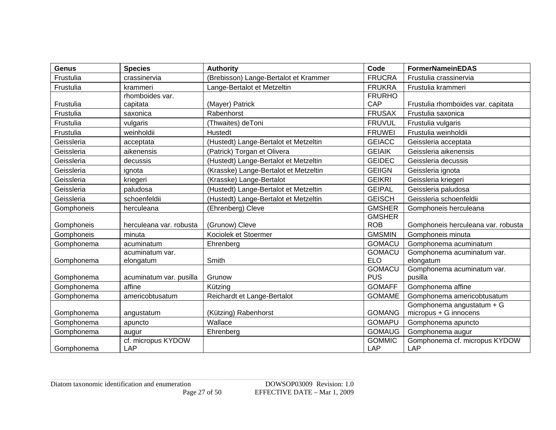| <b>Genus</b>             | <b>Species</b>                    | <b>Authority</b>                      | Code                        | <b>FormerNameinEDAS</b>                                 |
|--------------------------|-----------------------------------|---------------------------------------|-----------------------------|---------------------------------------------------------|
| Frustulia                | crassinervia                      | (Brebisson) Lange-Bertalot et Krammer | <b>FRUCRA</b>               | Frustulia crassinervia                                  |
| Frustulia                | krammeri                          | Lange-Bertalot et Metzeltin           | <b>FRUKRA</b>               | Frustulia krammeri                                      |
|                          | rhomboides var.                   |                                       | <b>FRURHO</b>               |                                                         |
| Frustulia                | capitata                          | (Mayer) Patrick                       | CAP                         | Frustulia rhomboides var. capitata                      |
| Frustulia                | saxonica                          | Rabenhorst                            | <b>FRUSAX</b>               | Frustulia saxonica                                      |
| Frustulia                | vulgaris                          | (Thwaites) deToni                     | <b>FRUVUL</b>               | Frustulia vulgaris                                      |
| Frustulia                | weinholdii                        | Hustedt                               | <b>FRUWEI</b>               | Frustulia weinholdii                                    |
| Geissleria               | acceptata                         | (Hustedt) Lange-Bertalot et Metzeltin | <b>GEIACC</b>               | Geissleria acceptata                                    |
| Geissleria               | aikenensis                        | (Patrick) Torgan et Olivera           | <b>GEIAIK</b>               | Geissleria aikenensis                                   |
| Geissleria               | decussis                          | (Hustedt) Lange-Bertalot et Metzeltin | <b>GEIDEC</b>               | Geissleria decussis                                     |
| Geissleria               | ignota                            | (Krasske) Lange-Bertalot et Metzeltin | <b>GEIIGN</b>               | Geissleria ignota                                       |
| Geissleria               | kriegeri                          | (Krasske) Lange-Bertalot              | <b>GEIKRI</b>               | Geissleria kriegeri                                     |
| Geissleria               | paludosa                          | (Hustedt) Lange-Bertalot et Metzeltin | <b>GEIPAL</b>               | Geissleria paludosa                                     |
| Geissleria               | schoenfeldii                      | (Hustedt) Lange-Bertalot et Metzeltin | <b>GEISCH</b>               | Geissleria schoenfeldii                                 |
| Gomphoneis               | herculeana                        | (Ehrenberg) Cleve                     | <b>GMSHER</b>               | Gomphoneis herculeana                                   |
|                          |                                   |                                       | <b>GMSHER</b>               |                                                         |
| Gomphoneis               | herculeana var. robusta           | (Grunow) Cleve                        | <b>ROB</b>                  | Gomphoneis herculeana var. robusta                      |
| Gomphoneis               | minuta                            | Kociolek et Stoermer                  | <b>GMSMIN</b>               | Gomphoneis minuta                                       |
| Gomphonema               | acuminatum                        | Ehrenberg                             | <b>GOMACU</b>               | Gomphonema acuminatum                                   |
|                          | acuminatum var.                   |                                       | <b>GOMACU</b>               | Gomphonema acuminatum var.                              |
| Gomphonema               | elongatum                         | Smith                                 | <b>ELO</b>                  | elongatum                                               |
|                          |                                   | Grunow                                | <b>GOMACU</b><br><b>PUS</b> | Gomphonema acuminatum var.<br>pusilla                   |
| Gomphonema<br>Gomphonema | acuminatum var. pusilla<br>affine | Kützing                               | <b>GOMAFF</b>               | Gomphonema affine                                       |
|                          |                                   |                                       |                             |                                                         |
| Gomphonema               | americobtusatum                   | Reichardt et Lange-Bertalot           | <b>GOMAME</b>               | Gomphonema americobtusatum<br>Gomphonema angustatum + G |
| Gomphonema               | angustatum                        | (Kützing) Rabenhorst                  | <b>GOMANG</b>               | micropus + G innocens                                   |
| Gomphonema               | apuncto                           | Wallace                               | <b>GOMAPU</b>               | Gomphonema apuncto                                      |
| Gomphonema               | augur                             | Ehrenberg                             | <b>GOMAUG</b>               | Gomphonema augur                                        |
|                          | cf. micropus KYDOW                |                                       | <b>GOMMIC</b>               | Gomphonema cf. micropus KYDOW                           |
| Gomphonema               | LAP                               |                                       | LAP                         | <b>LAP</b>                                              |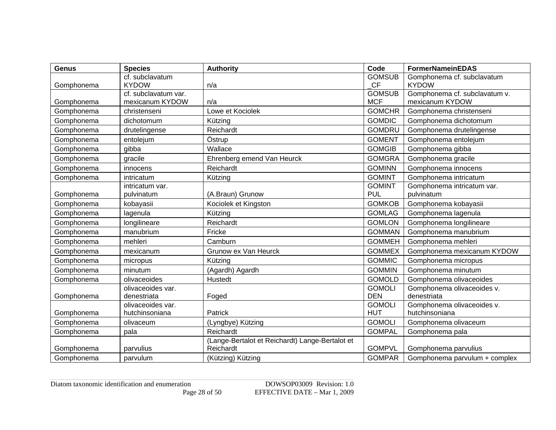| <b>Genus</b> | <b>Species</b>       | <b>Authority</b>                                | Code          | <b>FormerNameinEDAS</b>       |
|--------------|----------------------|-------------------------------------------------|---------------|-------------------------------|
|              | cf. subclavatum      |                                                 | <b>GOMSUB</b> | Gomphonema cf. subclavatum    |
| Gomphonema   | <b>KYDOW</b>         | n/a                                             | <b>CF</b>     | <b>KYDOW</b>                  |
|              | cf. subclavatum var. |                                                 | <b>GOMSUB</b> | Gomphonema cf. subclavatum v. |
| Gomphonema   | mexicanum KYDOW      | n/a                                             | <b>MCF</b>    | mexicanum KYDOW               |
| Gomphonema   | christenseni         | Lowe et Kociolek                                | <b>GOMCHR</b> | Gomphonema christenseni       |
| Gomphonema   | dichotomum           | Kützing                                         | <b>GOMDIC</b> | Gomphonema dichotomum         |
| Gomphonema   | drutelingense        | Reichardt                                       | <b>GOMDRU</b> | Gomphonema drutelingense      |
| Gomphonema   | entolejum            | Östrup                                          | <b>GOMENT</b> | Gomphonema entolejum          |
| Gomphonema   | gibba                | Wallace                                         | <b>GOMGIB</b> | Gomphonema gibba              |
| Gomphonema   | gracile              | Ehrenberg emend Van Heurck                      | <b>GOMGRA</b> | Gomphonema gracile            |
| Gomphonema   | innocens             | Reichardt                                       | <b>GOMINN</b> | Gomphonema innocens           |
| Gomphonema   | intricatum           | Kützing                                         | <b>GOMINT</b> | Gomphonema intricatum         |
|              | intricatum var.      |                                                 | <b>GOMINT</b> | Gomphonema intricatum var.    |
| Gomphonema   | pulvinatum           | (A.Braun) Grunow                                | <b>PUL</b>    | pulvinatum                    |
| Gomphonema   | kobayasii            | Kociolek et Kingston                            | <b>GOMKOB</b> | Gomphonema kobayasii          |
| Gomphonema   | lagenula             | Kützing                                         | <b>GOMLAG</b> | Gomphonema lagenula           |
| Gomphonema   | longilineare         | Reichardt                                       | <b>GOMLON</b> | Gomphonema longilineare       |
| Gomphonema   | manubrium            | Fricke                                          | <b>GOMMAN</b> | Gomphonema manubrium          |
| Gomphonema   | mehleri              | Camburn                                         | <b>GOMMEH</b> | Gomphonema mehleri            |
| Gomphonema   | mexicanum            | Grunow ex Van Heurck                            | <b>GOMMEX</b> | Gomphonema mexicanum KYDOW    |
| Gomphonema   | micropus             | Kützing                                         | <b>GOMMIC</b> | Gomphonema micropus           |
| Gomphonema   | minutum              | (Agardh) Agardh                                 | <b>GOMMIN</b> | Gomphonema minutum            |
| Gomphonema   | olivaceoides         | Hustedt                                         | <b>GOMOLD</b> | Gomphonema olivaceoides       |
|              | olivaceoides var.    |                                                 | <b>GOMOLI</b> | Gomphonema olivaceoides v.    |
| Gomphonema   | denestriata          | Foged                                           | <b>DEN</b>    | denestriata                   |
|              | olivaceoides var.    |                                                 | <b>GOMOLI</b> | Gomphonema olivaceoides v.    |
| Gomphonema   | hutchinsoniana       | Patrick                                         | <b>HUT</b>    | hutchinsoniana                |
| Gomphonema   | olivaceum            | (Lyngbye) Kützing                               | <b>GOMOLI</b> | Gomphonema olivaceum          |
| Gomphonema   | pala                 | Reichardt                                       | <b>GOMPAL</b> | Gomphonema pala               |
|              |                      | (Lange-Bertalot et Reichardt) Lange-Bertalot et |               |                               |
| Gomphonema   | parvulius            | Reichardt                                       | <b>GOMPVL</b> | Gomphonema parvulius          |
| Gomphonema   | parvulum             | (Kützing) Kützing                               | <b>GOMPAR</b> | Gomphonema parvulum + complex |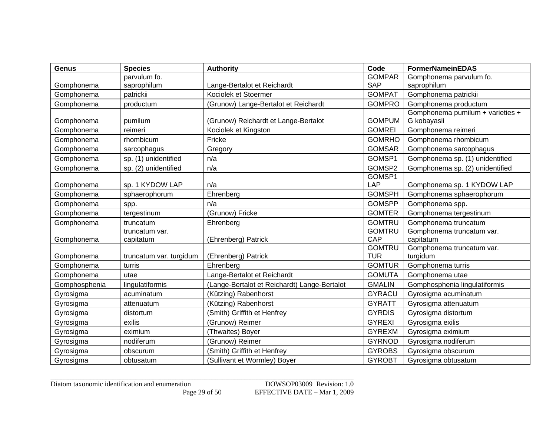| <b>Genus</b>  | <b>Species</b>          | <b>Authority</b>                             | Code          | <b>FormerNameinEDAS</b>          |
|---------------|-------------------------|----------------------------------------------|---------------|----------------------------------|
|               | parvulum fo.            |                                              | <b>GOMPAR</b> | Gomphonema parvulum fo.          |
| Gomphonema    | saprophilum             | Lange-Bertalot et Reichardt                  | <b>SAP</b>    | saprophilum                      |
| Gomphonema    | patrickii               | Kociolek et Stoermer                         | <b>GOMPAT</b> | Gomphonema patrickii             |
| Gomphonema    | productum               | (Grunow) Lange-Bertalot et Reichardt         | <b>GOMPRO</b> | Gomphonema productum             |
|               |                         |                                              |               | Gomphonema pumilum + varieties + |
| Gomphonema    | pumilum                 | (Grunow) Reichardt et Lange-Bertalot         | <b>GOMPUM</b> | G kobayasii                      |
| Gomphonema    | reimeri                 | Kociolek et Kingston                         | <b>GOMREI</b> | Gomphonema reimeri               |
| Gomphonema    | rhombicum               | Fricke                                       | <b>GOMRHO</b> | Gomphonema rhombicum             |
| Gomphonema    | sarcophagus             | Gregory                                      | <b>GOMSAR</b> | Gomphonema sarcophagus           |
| Gomphonema    | sp. (1) unidentified    | n/a                                          | GOMSP1        | Gomphonema sp. (1) unidentified  |
| Gomphonema    | sp. (2) unidentified    | n/a                                          | GOMSP2        | Gomphonema sp. (2) unidentified  |
|               |                         |                                              | GOMSP1        |                                  |
| Gomphonema    | sp. 1 KYDOW LAP         | n/a                                          | <b>LAP</b>    | Gomphonema sp. 1 KYDOW LAP       |
| Gomphonema    | sphaerophorum           | Ehrenberg                                    | <b>GOMSPH</b> | Gomphonema sphaerophorum         |
| Gomphonema    | spp.                    | n/a                                          | <b>GOMSPP</b> | Gomphonema spp.                  |
| Gomphonema    | tergestinum             | (Grunow) Fricke                              | <b>GOMTER</b> | Gomphonema tergestinum           |
| Gomphonema    | truncatum               | Ehrenberg                                    | <b>GOMTRU</b> | Gomphonema truncatum             |
|               | truncatum var.          |                                              | <b>GOMTRU</b> | Gomphonema truncatum var.        |
| Gomphonema    | capitatum               | (Ehrenberg) Patrick                          | CAP           | capitatum                        |
|               |                         |                                              | <b>GOMTRU</b> | Gomphonema truncatum var.        |
| Gomphonema    | truncatum var. turgidum | (Ehrenberg) Patrick                          | <b>TUR</b>    | turgidum                         |
| Gomphonema    | turris                  | Ehrenberg                                    | <b>GOMTUR</b> | Gomphonema turris                |
| Gomphonema    | utae                    | Lange-Bertalot et Reichardt                  | <b>GOMUTA</b> | Gomphonema utae                  |
| Gomphosphenia | lingulatiformis         | (Lange-Bertalot et Reichardt) Lange-Bertalot | <b>GMALIN</b> | Gomphosphenia lingulatiformis    |
| Gyrosigma     | acuminatum              | (Kützing) Rabenhorst                         | <b>GYRACU</b> | Gyrosigma acuminatum             |
| Gyrosigma     | attenuatum              | (Kützing) Rabenhorst                         | <b>GYRATT</b> | Gyrosigma attenuatum             |
| Gyrosigma     | distortum               | (Smith) Griffith et Henfrey                  | <b>GYRDIS</b> | Gyrosigma distortum              |
| Gyrosigma     | exilis                  | (Grunow) Reimer                              | <b>GYREXI</b> | Gyrosigma exilis                 |
| Gyrosigma     | eximium                 | (Thwaites) Boyer                             | <b>GYREXM</b> | Gyrosigma eximium                |
| Gyrosigma     | nodiferum               | (Grunow) Reimer                              | <b>GYRNOD</b> | Gyrosigma nodiferum              |
| Gyrosigma     | obscurum                | (Smith) Griffith et Henfrey                  | <b>GYROBS</b> | Gyrosigma obscurum               |
| Gyrosigma     | obtusatum               | (Sullivant et Wormley) Boyer                 | <b>GYROBT</b> | Gyrosigma obtusatum              |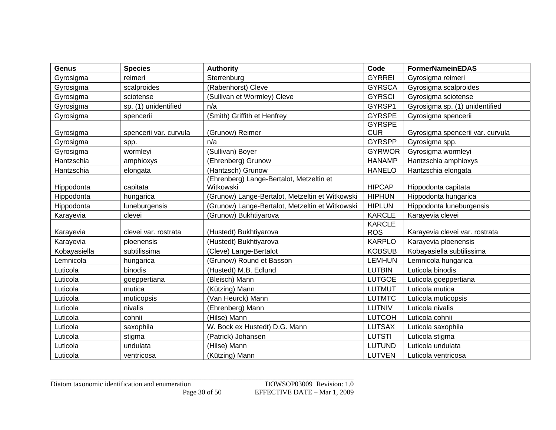| <b>Genus</b> | <b>Species</b>         | <b>Authority</b>                                      | Code                        | <b>FormerNameinEDAS</b>          |
|--------------|------------------------|-------------------------------------------------------|-----------------------------|----------------------------------|
| Gyrosigma    | reimeri                | Sterrenburg                                           | <b>GYRREI</b>               | Gyrosigma reimeri                |
| Gyrosigma    | scalproides            | (Rabenhorst) Cleve                                    | <b>GYRSCA</b>               | Gyrosigma scalproides            |
| Gyrosigma    | sciotense              | (Sullivan et Wormley) Cleve                           | <b>GYRSCI</b>               | Gyrosigma sciotense              |
| Gyrosigma    | sp. (1) unidentified   | n/a                                                   | GYRSP1                      | Gyrosigma sp. (1) unidentified   |
| Gyrosigma    | spencerii              | (Smith) Griffith et Henfrey                           | <b>GYRSPE</b>               | Gyrosigma spencerii              |
| Gyrosigma    | spencerii var. curvula | (Grunow) Reimer                                       | <b>GYRSPE</b><br><b>CUR</b> | Gyrosigma spencerii var. curvula |
| Gyrosigma    | spp.                   | n/a                                                   | <b>GYRSPP</b>               | Gyrosigma spp.                   |
| Gyrosigma    | wormleyi               | (Sullivan) Boyer                                      | <b>GYRWOR</b>               | Gyrosigma wormleyi               |
| Hantzschia   | amphioxys              | (Ehrenberg) Grunow                                    | <b>HANAMP</b>               | Hantzschia amphioxys             |
| Hantzschia   | elongata               | (Hantzsch) Grunow                                     | <b>HANELO</b>               | Hantzschia elongata              |
| Hippodonta   | capitata               | (Ehrenberg) Lange-Bertalot, Metzeltin et<br>Witkowski | <b>HIPCAP</b>               | Hippodonta capitata              |
| Hippodonta   | hungarica              | (Grunow) Lange-Bertalot, Metzeltin et Witkowski       | <b>HIPHUN</b>               | Hippodonta hungarica             |
| Hippodonta   | luneburgensis          | (Grunow) Lange-Bertalot, Metzeltin et Witkowski       | <b>HIPLUN</b>               | Hippodonta luneburgensis         |
| Karayevia    | clevei                 | (Grunow) Bukhtiyarova                                 | <b>KARCLE</b>               | Karayevia clevei                 |
| Karayevia    | clevei var. rostrata   | (Hustedt) Bukhtiyarova                                | <b>KARCLE</b><br><b>ROS</b> | Karayevia clevei var. rostrata   |
| Karayevia    | ploenensis             | (Hustedt) Bukhtiyarova                                | <b>KARPLO</b>               | Karayevia ploenensis             |
| Kobayasiella | subtilissima           | (Cleve) Lange-Bertalot                                | <b>KOBSUB</b>               | Kobayasiella subtilissima        |
| Lemnicola    | hungarica              | (Grunow) Round et Basson                              | <b>LEMHUN</b>               | Lemnicola hungarica              |
| Luticola     | binodis                | (Hustedt) M.B. Edlund                                 | <b>LUTBIN</b>               | Luticola binodis                 |
| Luticola     | goeppertiana           | (Bleisch) Mann                                        | <b>LUTGOE</b>               | Luticola goeppertiana            |
| Luticola     | mutica                 | (Kützing) Mann                                        | <b>LUTMUT</b>               | Luticola mutica                  |
| Luticola     | muticopsis             | (Van Heurck) Mann                                     | <b>LUTMTC</b>               | Luticola muticopsis              |
| Luticola     | nivalis                | (Ehrenberg) Mann                                      | <b>LUTNIV</b>               | Luticola nivalis                 |
| Luticola     | cohnii                 | (Hilse) Mann                                          | <b>LUTCOH</b>               | Luticola cohnii                  |
| Luticola     | saxophila              | W. Bock ex Hustedt) D.G. Mann                         | <b>LUTSAX</b>               | Luticola saxophila               |
| Luticola     | stigma                 | (Patrick) Johansen                                    | <b>LUTSTI</b>               | Luticola stigma                  |
| Luticola     | undulata               | (Hilse) Mann                                          | <b>LUTUND</b>               | Luticola undulata                |
| Luticola     | ventricosa             | (Kützing) Mann                                        | <b>LUTVEN</b>               | Luticola ventricosa              |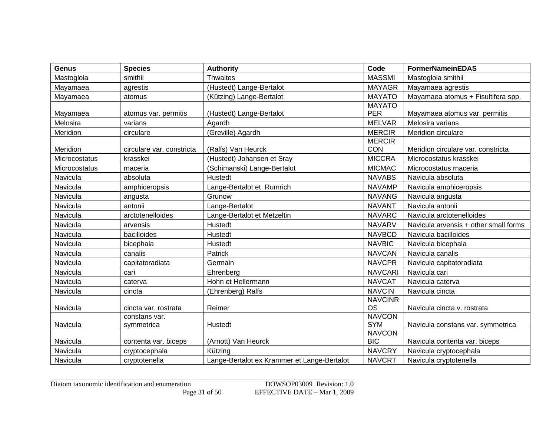| <b>Genus</b>  | <b>Species</b>            | <b>Authority</b>                            | Code                        | <b>FormerNameinEDAS</b>               |
|---------------|---------------------------|---------------------------------------------|-----------------------------|---------------------------------------|
| Mastogloia    | smithii                   | <b>Thwaites</b>                             | <b>MASSMI</b>               | Mastogloia smithii                    |
| Mayamaea      | agrestis                  | (Hustedt) Lange-Bertalot                    | <b>MAYAGR</b>               | Mayamaea agrestis                     |
| Mayamaea      | atomus                    | (Kützing) Lange-Bertalot                    | <b>MAYATO</b>               | Mayamaea atomus + Fisultifera spp.    |
|               |                           |                                             | <b>MAYATO</b>               |                                       |
| Mayamaea      | atomus var. permitis      | (Hustedt) Lange-Bertalot                    | <b>PER</b>                  | Mayamaea atomus var. permitis         |
| Melosira      | varians                   | Agardh                                      | <b>MELVAR</b>               | Melosira varians                      |
| Meridion      | circulare                 | (Greville) Agardh                           | <b>MERCIR</b>               | Meridion circulare                    |
|               |                           |                                             | <b>MERCIR</b>               |                                       |
| Meridion      | circulare var. constricta | (Ralfs) Van Heurck                          | CON                         | Meridion circulare var. constricta    |
| Microcostatus | krasskei                  | (Hustedt) Johansen et Sray                  | <b>MICCRA</b>               | Microcostatus krasskei                |
| Microcostatus | maceria                   | (Schimanski) Lange-Bertalot                 | <b>MICMAC</b>               | Microcostatus maceria                 |
| Navicula      | absoluta                  | <b>Hustedt</b>                              | <b>NAVABS</b>               | Navicula absoluta                     |
| Navicula      | amphiceropsis             | Lange-Bertalot et Rumrich                   | <b>NAVAMP</b>               | Navicula amphiceropsis                |
| Navicula      | angusta                   | Grunow                                      | <b>NAVANG</b>               | Navicula angusta                      |
| Navicula      | antonii                   | Lange-Bertalot                              | <b>NAVANT</b>               | Navicula antonii                      |
| Navicula      | arctotenelloides          | Lange-Bertalot et Metzeltin                 | <b>NAVARC</b>               | Navicula arctotenelloides             |
| Navicula      | arvensis                  | Hustedt                                     | <b>NAVARV</b>               | Navicula arvensis + other small forms |
| Navicula      | bacilloides               | <b>Hustedt</b>                              | <b>NAVBCD</b>               | Navicula bacilloides                  |
| Navicula      | bicephala                 | Hustedt                                     | <b>NAVBIC</b>               | Navicula bicephala                    |
| Navicula      | canalis                   | Patrick                                     | <b>NAVCAN</b>               | Navicula canalis                      |
| Navicula      | capitatoradiata           | Germain                                     | <b>NAVCPR</b>               | Navicula capitatoradiata              |
| Navicula      | cari                      | Ehrenberg                                   | <b>NAVCARI</b>              | Navicula cari                         |
| Navicula      | caterva                   | Hohn et Hellermann                          | <b>NAVCAT</b>               | Navicula caterva                      |
| Navicula      | cincta                    | (Ehrenberg) Ralfs                           | <b>NAVCIN</b>               | Navicula cincta                       |
|               |                           |                                             | <b>NAVCINR</b>              |                                       |
| Navicula      | cincta var. rostrata      | Reimer                                      | <b>OS</b>                   | Navicula cincta v. rostrata           |
|               | constans var.             |                                             | <b>NAVCON</b>               |                                       |
| Navicula      | symmetrica                | Hustedt                                     | <b>SYM</b>                  | Navicula constans var. symmetrica     |
| Navicula      | contenta var. biceps      | (Arnott) Van Heurck                         | <b>NAVCON</b><br><b>BIC</b> | Navicula contenta var. biceps         |
| Navicula      | cryptocephala             | Kützing                                     | <b>NAVCRY</b>               | Navicula cryptocephala                |
| Navicula      | cryptotenella             | Lange-Bertalot ex Krammer et Lange-Bertalot | <b>NAVCRT</b>               | Navicula cryptotenella                |
|               |                           |                                             |                             |                                       |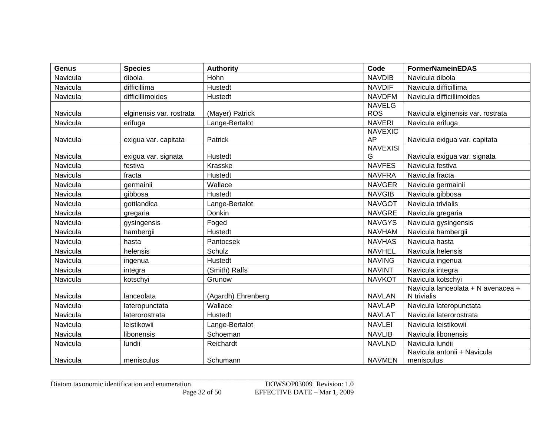| <b>Genus</b> | <b>Species</b>           | <b>Authority</b>   | Code                 | <b>FormerNameinEDAS</b>            |
|--------------|--------------------------|--------------------|----------------------|------------------------------------|
| Navicula     | dibola                   | Hohn               | <b>NAVDIB</b>        | Navicula dibola                    |
| Navicula     | difficillima             | <b>Hustedt</b>     | <b>NAVDIF</b>        | Navicula difficillima              |
| Navicula     | difficillimoides         | Hustedt            | <b>NAVDFM</b>        | Navicula difficillimoides          |
|              |                          |                    | <b>NAVELG</b>        |                                    |
| Navicula     | elginensis var. rostrata | (Mayer) Patrick    | <b>ROS</b>           | Navicula elginensis var. rostrata  |
| Navicula     | erifuga                  | Lange-Bertalot     | <b>NAVERI</b>        | Navicula erifuga                   |
|              |                          |                    | <b>NAVEXIC</b>       |                                    |
| Navicula     | exigua var. capitata     | Patrick            | AP                   | Navicula exigua var. capitata      |
| Navicula     | exigua var. signata      | Hustedt            | <b>NAVEXISI</b><br>G | Navicula exigua var. signata       |
| Navicula     | festiva                  | Krasske            | <b>NAVFES</b>        | Navicula festiva                   |
| Navicula     | fracta                   | Hustedt            | <b>NAVFRA</b>        | Navicula fracta                    |
| Navicula     | germainii                | Wallace            | <b>NAVGER</b>        | Navicula germainii                 |
| Navicula     |                          | <b>Hustedt</b>     | <b>NAVGIB</b>        |                                    |
|              | gibbosa                  |                    |                      | Navicula gibbosa                   |
| Navicula     | gottlandica              | Lange-Bertalot     | <b>NAVGOT</b>        | Navicula trivialis                 |
| Navicula     | gregaria                 | Donkin             | <b>NAVGRE</b>        | Navicula gregaria                  |
| Navicula     | gysingensis              | Foged              | <b>NAVGYS</b>        | Navicula gysingensis               |
| Navicula     | hambergii                | <b>Hustedt</b>     | <b>NAVHAM</b>        | Navicula hambergii                 |
| Navicula     | hasta                    | Pantocsek          | <b>NAVHAS</b>        | Navicula hasta                     |
| Navicula     | helensis                 | Schulz             | <b>NAVHEL</b>        | Navicula helensis                  |
| Navicula     | ingenua                  | Hustedt            | <b>NAVING</b>        | Navicula ingenua                   |
| Navicula     | integra                  | (Smith) Ralfs      | <b>NAVINT</b>        | Navicula integra                   |
| Navicula     | kotschyi                 | Grunow             | <b>NAVKOT</b>        | Navicula kotschyi                  |
|              |                          |                    |                      | Navicula lanceolata + N avenacea + |
| Navicula     | lanceolata               | (Agardh) Ehrenberg | <b>NAVLAN</b>        | N trivialis                        |
| Navicula     | lateropunctata           | Wallace            | <b>NAVLAP</b>        | Navicula lateropunctata            |
| Navicula     | laterorostrata           | Hustedt            | <b>NAVLAT</b>        | Navicula laterorostrata            |
| Navicula     | leistikowii              | Lange-Bertalot     | <b>NAVLEI</b>        | Navicula leistikowii               |
| Navicula     | libonensis               | Schoeman           | <b>NAVLIB</b>        | Navicula libonensis                |
| Navicula     | lundii                   | Reichardt          | <b>NAVLND</b>        | Navicula lundii                    |
|              |                          |                    |                      | Navicula antonii + Navicula        |
| Navicula     | menisculus               | Schumann           | <b>NAVMEN</b>        | menisculus                         |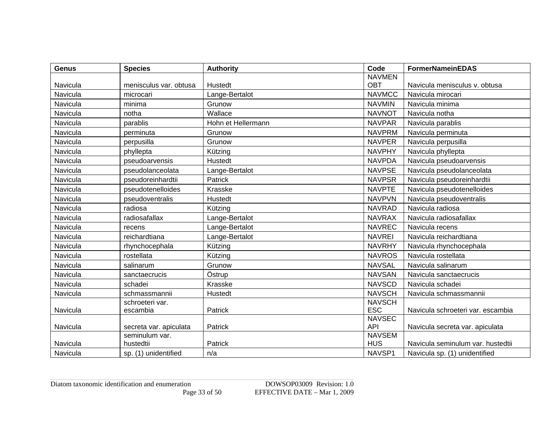| <b>Genus</b> | <b>Species</b>                           | <b>Authority</b>   | Code                        | <b>FormerNameinEDAS</b>           |
|--------------|------------------------------------------|--------------------|-----------------------------|-----------------------------------|
|              |                                          |                    | <b>NAVMEN</b>               |                                   |
| Navicula     | menisculus var. obtusa                   | Hustedt            | <b>OBT</b>                  | Navicula menisculus v. obtusa     |
| Navicula     | microcari                                | Lange-Bertalot     | <b>NAVMCC</b>               | Navicula mirocari                 |
| Navicula     | minima                                   | Grunow             | <b>NAVMIN</b>               | Navicula minima                   |
| Navicula     | notha                                    | Wallace            | <b>NAVNOT</b>               | Navicula notha                    |
| Navicula     | parablis                                 | Hohn et Hellermann | <b>NAVPAR</b>               | Navicula parablis                 |
| Navicula     | perminuta                                | Grunow             | <b>NAVPRM</b>               | Navicula perminuta                |
| Navicula     | perpusilla                               | Grunow             | <b>NAVPER</b>               | Navicula perpusilla               |
| Navicula     | phyllepta                                | Kützing            | <b>NAVPHY</b>               | Navicula phyllepta                |
| Navicula     | pseudoarvensis                           | Hustedt            | <b>NAVPDA</b>               | Navicula pseudoarvensis           |
| Navicula     | pseudolanceolata                         | Lange-Bertalot     | <b>NAVPSE</b>               | Navicula pseudolanceolata         |
| Navicula     | pseudoreinhardtii                        | Patrick            | <b>NAVPSR</b>               | Navicula pseudoreinhardtii        |
| Navicula     | pseudotenelloides                        | Krasske            | <b>NAVPTE</b>               | Navicula pseudotenelloides        |
| Navicula     | pseudoventralis                          | Hustedt            | <b>NAVPVN</b>               | Navicula pseudoventralis          |
| Navicula     | radiosa                                  | Kützing            | <b>NAVRAD</b>               | Navicula radiosa                  |
| Navicula     | radiosafallax                            | Lange-Bertalot     | <b>NAVRAX</b>               | Navicula radiosafallax            |
| Navicula     | recens                                   | Lange-Bertalot     | <b>NAVREC</b>               | Navicula recens                   |
| Navicula     | reichardtiana                            | Lange-Bertalot     | <b>NAVREI</b>               | Navicula reichardtiana            |
| Navicula     | rhynchocephala                           | Kützing            | <b>NAVRHY</b>               | Navicula rhynchocephala           |
| Navicula     | rostellata                               | Kützing            | <b>NAVROS</b>               | Navicula rostellata               |
| Navicula     | salinarum                                | Grunow             | <b>NAVSAL</b>               | Navicula salinarum                |
| Navicula     | sanctaecrucis                            | Östrup             | <b>NAVSAN</b>               | Navicula sanctaecrucis            |
| Navicula     | schadei                                  | Krasske            | <b>NAVSCD</b>               | Navicula schadei                  |
| Navicula     | schmassmannii                            | Hustedt            | <b>NAVSCH</b>               | Navicula schmassmannii            |
|              | schroeteri var.                          |                    | <b>NAVSCH</b>               |                                   |
| Navicula     | escambia                                 | Patrick            | <b>ESC</b>                  | Navicula schroeteri var. escambia |
|              |                                          |                    | <b>NAVSEC</b>               |                                   |
| Navicula     | secreta var. apiculata<br>seminulum var. | Patrick            | <b>API</b><br><b>NAVSEM</b> | Navicula secreta var. apiculata   |
| Navicula     | hustedtii                                | Patrick            | <b>HUS</b>                  | Navicula seminulum var. hustedtii |
| Navicula     | sp. (1) unidentified                     | n/a                | NAVSP1                      | Navicula sp. (1) unidentified     |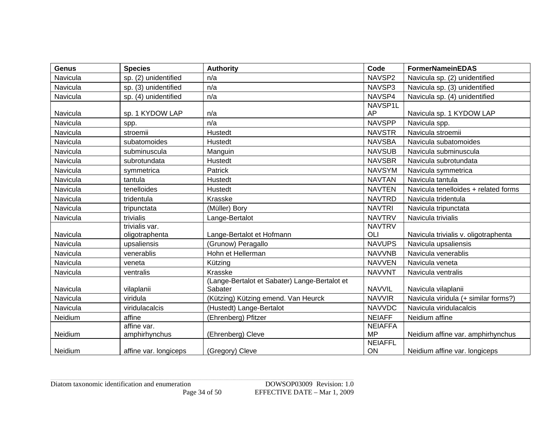| <b>Genus</b> | <b>Species</b>               | <b>Authority</b>                                         | Code                        | <b>FormerNameinEDAS</b>                                         |
|--------------|------------------------------|----------------------------------------------------------|-----------------------------|-----------------------------------------------------------------|
| Navicula     | sp. (2) unidentified         | n/a                                                      | NAVSP2                      | Navicula sp. (2) unidentified                                   |
| Navicula     | sp. (3) unidentified         | n/a                                                      | NAVSP3                      | Navicula sp. (3) unidentified                                   |
| Navicula     | sp. (4) unidentified         | n/a                                                      | NAVSP4                      | Navicula sp. (4) unidentified                                   |
|              |                              |                                                          | NAVSP1L                     |                                                                 |
| Navicula     | sp. 1 KYDOW LAP              | n/a                                                      | AP                          | Navicula sp. 1 KYDOW LAP                                        |
| Navicula     | spp.                         | n/a                                                      | <b>NAVSPP</b>               | Navicula spp.                                                   |
| Navicula     | stroemii                     | <b>Hustedt</b>                                           | <b>NAVSTR</b>               | Navicula stroemii                                               |
| Navicula     | subatomoides                 | Hustedt                                                  | <b>NAVSBA</b>               | Navicula subatomoides                                           |
| Navicula     | subminuscula                 | Manguin                                                  | <b>NAVSUB</b>               | Navicula subminuscula                                           |
| Navicula     | subrotundata                 | Hustedt                                                  | <b>NAVSBR</b>               | Navicula subrotundata                                           |
| Navicula     | symmetrica                   | Patrick                                                  | <b>NAVSYM</b>               | Navicula symmetrica                                             |
| Navicula     | tantula                      | Hustedt                                                  | <b>NAVTAN</b>               | Navicula tantula                                                |
| Navicula     | tenelloides                  | Hustedt                                                  | <b>NAVTEN</b>               | Navicula tenelloides + related forms                            |
| Navicula     | tridentula                   | Krasske                                                  | <b>NAVTRD</b>               | Navicula tridentula                                             |
| Navicula     | tripunctata                  | (Müller) Bory                                            | <b>NAVTRI</b>               | Navicula tripunctata                                            |
| Navicula     | trivialis                    | Lange-Bertalot                                           | <b>NAVTRV</b>               | Navicula trivialis                                              |
|              | trivialis var.               |                                                          | <b>NAVTRV</b>               |                                                                 |
| Navicula     | oligotraphenta               | Lange-Bertalot et Hofmann                                | OLI                         | Navicula trivialis v. oligotraphenta                            |
| Navicula     | upsaliensis                  | (Grunow) Peragallo                                       | <b>NAVUPS</b>               | Navicula upsaliensis                                            |
| Navicula     | venerablis                   | Hohn et Hellerman                                        | <b>NAVVNB</b>               | Navicula venerablis                                             |
| Navicula     | veneta                       | Kützing                                                  | <b>NAVVEN</b>               | Navicula veneta                                                 |
| Navicula     | ventralis                    | Krasske                                                  | <b>NAVVNT</b>               | Navicula ventralis                                              |
| Navicula     |                              | (Lange-Bertalot et Sabater) Lange-Bertalot et<br>Sabater | <b>NAVVIL</b>               |                                                                 |
| Navicula     | vilaplanii<br>viridula       |                                                          | <b>NAVVIR</b>               | Navicula vilaplanii                                             |
| Navicula     |                              | (Kützing) Kützing emend. Van Heurck                      |                             | Navicula viridula (+ similar forms?)<br>Navicula viridulacalcis |
|              | viridulacalcis               | (Hustedt) Lange-Bertalot                                 | <b>NAVVDC</b>               |                                                                 |
| Neidium      | affine                       | (Ehrenberg) Pfitzer                                      | <b>NEIAFF</b>               | Neidium affine                                                  |
| Neidium      | affine var.<br>amphirhynchus | (Ehrenberg) Cleve                                        | <b>NEIAFFA</b><br><b>MP</b> | Neidium affine var. amphirhynchus                               |
|              |                              |                                                          | <b>NEIAFFL</b>              |                                                                 |
| Neidium      | affine var. longiceps        | (Gregory) Cleve                                          | ON                          | Neidium affine var. longiceps                                   |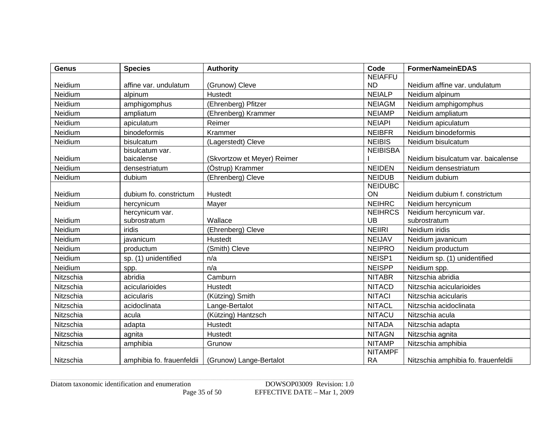| <b>Genus</b> | <b>Species</b>            | <b>Authority</b>            | Code            | <b>FormerNameinEDAS</b>             |
|--------------|---------------------------|-----------------------------|-----------------|-------------------------------------|
|              |                           |                             | <b>NEIAFFU</b>  |                                     |
| Neidium      | affine var. undulatum     | (Grunow) Cleve              | <b>ND</b>       | Neidium affine var. undulatum       |
| Neidium      | alpinum                   | Hustedt                     | <b>NEIALP</b>   | Neidium alpinum                     |
| Neidium      | amphigomphus              | (Ehrenberg) Pfitzer         | <b>NEIAGM</b>   | Neidium amphigomphus                |
| Neidium      | ampliatum                 | (Ehrenberg) Krammer         | <b>NEIAMP</b>   | Neidium ampliatum                   |
| Neidium      | apiculatum                | Reimer                      | <b>NEIAPI</b>   | Neidium apiculatum                  |
| Neidium      | binodeformis              | Krammer                     | <b>NEIBFR</b>   | Neidium binodeformis                |
| Neidium      | bisulcatum                | (Lagerstedt) Cleve          | <b>NEIBIS</b>   | Neidium bisulcatum                  |
|              | bisulcatum var.           |                             | <b>NEIBISBA</b> |                                     |
| Neidium      | baicalense                | (Skvortzow et Meyer) Reimer |                 | Neidium bisulcatum var. baicalense  |
| Neidium      | densestriatum             | (Östrup) Krammer            | <b>NEIDEN</b>   | Neidium densestriatum               |
| Neidium      | dubium                    | (Ehrenberg) Cleve           | <b>NEIDUB</b>   | Neidium dubium                      |
|              |                           |                             | <b>NEIDUBC</b>  |                                     |
| Neidium      | dubium fo. constrictum    | Hustedt                     | ON              | Neidium dubium f. constrictum       |
| Neidium      | hercynicum                | Mayer                       | <b>NEIHRC</b>   | Neidium hercynicum                  |
|              | hercynicum var.           |                             | <b>NEIHRCS</b>  | Neidium hercynicum var.             |
| Neidium      | subrostratum              | Wallace                     | <b>UB</b>       | subrostratum                        |
| Neidium      | iridis                    | (Ehrenberg) Cleve           | <b>NEIRI</b>    | Neidium iridis                      |
| Neidium      | javanicum                 | Hustedt                     | <b>NEIJAV</b>   | Neidium javanicum                   |
| Neidium      | productum                 | (Smith) Cleve               | <b>NEIPRO</b>   | Neidium productum                   |
| Neidium      | sp. (1) unidentified      | n/a                         | NEISP1          | Neidium sp. (1) unidentified        |
| Neidium      | spp.                      | n/a                         | <b>NEISPP</b>   | Neidium spp.                        |
| Nitzschia    | abridia                   | Camburn                     | <b>NITABR</b>   | Nitzschia abridia                   |
| Nitzschia    | acicularioides            | Hustedt                     | <b>NITACD</b>   | Nitzschia acicularioides            |
| Nitzschia    | acicularis                | (Kützing) Smith             | <b>NITACI</b>   | Nitzschia acicularis                |
| Nitzschia    | acidoclinata              | Lange-Bertalot              | <b>NITACL</b>   | Nitzschia acidoclinata              |
| Nitzschia    | acula                     | (Kützing) Hantzsch          | <b>NITACU</b>   | Nitzschia acula                     |
| Nitzschia    | adapta                    | Hustedt                     | <b>NITADA</b>   | Nitzschia adapta                    |
| Nitzschia    | agnita                    | Hustedt                     | <b>NITAGN</b>   | Nitzschia agnita                    |
| Nitzschia    | amphibia                  | Grunow                      | <b>NITAMP</b>   | Nitzschia amphibia                  |
|              |                           |                             | <b>NITAMPF</b>  |                                     |
| Nitzschia    | amphibia fo. frauenfeldii | (Grunow) Lange-Bertalot     | <b>RA</b>       | Nitzschia amphibia fo. frauenfeldii |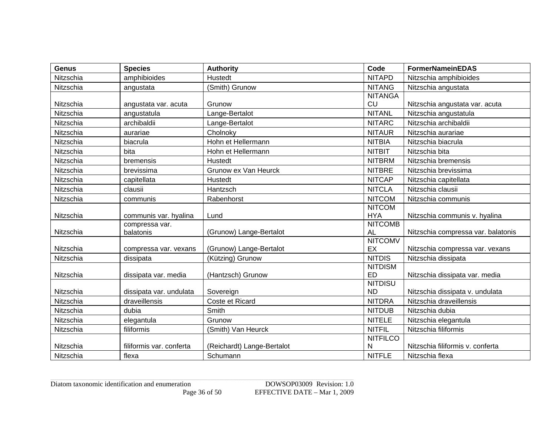| <b>Genus</b> | <b>Species</b>           | <b>Authority</b>                            | Code                 | <b>FormerNameinEDAS</b>                                |
|--------------|--------------------------|---------------------------------------------|----------------------|--------------------------------------------------------|
| Nitzschia    | amphibioides             | Hustedt                                     | <b>NITAPD</b>        | Nitzschia amphibioides                                 |
| Nitzschia    | angustata                | (Smith) Grunow                              | <b>NITANG</b>        | Nitzschia angustata                                    |
|              |                          |                                             | <b>NITANGA</b>       |                                                        |
| Nitzschia    | angustata var. acuta     | Grunow                                      | <b>CU</b>            | Nitzschia angustata var. acuta                         |
| Nitzschia    | angustatula              | Lange-Bertalot                              | <b>NITANL</b>        | Nitzschia angustatula                                  |
| Nitzschia    | archibaldii              | Lange-Bertalot                              | <b>NITARC</b>        | Nitzschia archibaldii                                  |
| Nitzschia    | aurariae                 | Cholnoky                                    | <b>NITAUR</b>        | Nitzschia aurariae                                     |
| Nitzschia    | biacrula                 | Hohn et Hellermann                          | <b>NITBIA</b>        | Nitzschia biacrula                                     |
| Nitzschia    | bita                     | Hohn et Hellermann                          | <b>NITBIT</b>        | Nitzschia bita                                         |
| Nitzschia    | bremensis                | Hustedt                                     | <b>NITBRM</b>        | Nitzschia bremensis                                    |
| Nitzschia    | brevissima               | Grunow ex Van Heurck                        | <b>NITBRE</b>        | Nitzschia brevissima                                   |
| Nitzschia    | capitellata              | Hustedt                                     | <b>NITCAP</b>        | Nitzschia capitellata                                  |
| Nitzschia    | clausii                  | Hantzsch                                    | <b>NITCLA</b>        | Nitzschia clausii                                      |
| Nitzschia    | communis                 | Rabenhorst                                  | <b>NITCOM</b>        | Nitzschia communis                                     |
|              |                          |                                             | <b>NITCOM</b>        |                                                        |
| Nitzschia    | communis var. hyalina    | Lund                                        | <b>HYA</b>           | Nitzschia communis v. hyalina                          |
|              | compressa var.           |                                             | <b>NITCOMB</b>       |                                                        |
| Nitzschia    | balatonis                | (Grunow) Lange-Bertalot                     | <b>AL</b>            | Nitzschia compressa var. balatonis                     |
| Nitzschia    |                          |                                             | <b>NITCOMV</b><br>EX |                                                        |
| Nitzschia    | compressa var. vexans    | (Grunow) Lange-Bertalot<br>(Kützing) Grunow | <b>NITDIS</b>        | Nitzschia compressa var. vexans<br>Nitzschia dissipata |
|              | dissipata                |                                             | <b>NITDISM</b>       |                                                        |
| Nitzschia    | dissipata var. media     | (Hantzsch) Grunow                           | <b>ED</b>            | Nitzschia dissipata var. media                         |
|              |                          |                                             | <b>NITDISU</b>       |                                                        |
| Nitzschia    | dissipata var. undulata  | Sovereign                                   | <b>ND</b>            | Nitzschia dissipata v. undulata                        |
| Nitzschia    | draveillensis            | Coste et Ricard                             | <b>NITDRA</b>        | Nitzschia draveillensis                                |
| Nitzschia    | dubia                    | Smith                                       | <b>NITDUB</b>        | Nitzschia dubia                                        |
| Nitzschia    | elegantula               | Grunow                                      | <b>NITELE</b>        | Nitzschia elegantula                                   |
| Nitzschia    | filiformis               | (Smith) Van Heurck                          | <b>NITFIL</b>        | Nitzschia filiformis                                   |
|              |                          |                                             | <b>NITFILCO</b>      |                                                        |
| Nitzschia    | filiformis var. conferta | (Reichardt) Lange-Bertalot                  | N                    | Nitzschia filiformis v. conferta                       |
| Nitzschia    | flexa                    | Schumann                                    | <b>NITFLE</b>        | Nitzschia flexa                                        |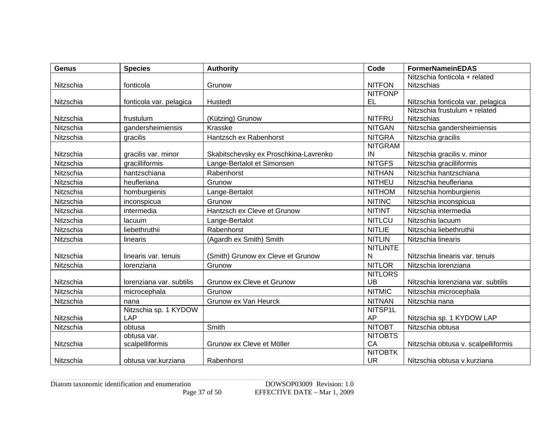| <b>Genus</b> | <b>Species</b>           | <b>Authority</b>                      | Code                 | <b>FormerNameinEDAS</b>             |
|--------------|--------------------------|---------------------------------------|----------------------|-------------------------------------|
|              |                          |                                       |                      | Nitzschia fonticola + related       |
| Nitzschia    | fonticola                | Grunow                                | <b>NITFON</b>        | <b>Nitzschias</b>                   |
|              |                          |                                       | <b>NITFONP</b>       |                                     |
| Nitzschia    | fonticola var. pelagica  | Hustedt                               | <b>EL</b>            | Nitzschia fonticola var. pelagica   |
|              |                          |                                       |                      | Nitzschia frustulum + related       |
| Nitzschia    | frustulum                | (Kützing) Grunow                      | <b>NITFRU</b>        | <b>Nitzschias</b>                   |
| Nitzschia    | gandersheimiensis        | Krasske                               | <b>NITGAN</b>        | Nitzschia gandersheimiensis         |
| Nitzschia    | gracilis                 | Hantzsch ex Rabenhorst                | <b>NITGRA</b>        | Nitzschia gracilis                  |
|              |                          |                                       | <b>NITGRAM</b><br>IN |                                     |
| Nitzschia    | gracilis var. minor      | Skabitschevsky ex Proschkina-Lavrenko |                      | Nitzschia gracilis v. minor         |
| Nitzschia    | gracilliformis           | Lange-Bertalot et Simonsen            | <b>NITGFS</b>        | Nitzschia gracilliformis            |
| Nitzschia    | hantzschiana             | Rabenhorst                            | <b>NITHAN</b>        | Nitzschia hantzschiana              |
| Nitzschia    | heufleriana              | Grunow                                | <b>NITHEU</b>        | Nitzschia heufleriana               |
| Nitzschia    | homburgienis             | Lange-Bertalot                        | <b>NITHOM</b>        | Nitzschia homburgienis              |
| Nitzschia    | inconspicua              | Grunow                                | <b>NITINC</b>        | Nitzschia inconspicua               |
| Nitzschia    | intermedia               | Hantzsch ex Cleve et Grunow           | <b>NITINT</b>        | Nitzschia intermedia                |
| Nitzschia    | lacuum                   | Lange-Bertalot                        | <b>NITLCU</b>        | Nitzschia lacuum                    |
| Nitzschia    | liebethruthii            | Rabenhorst                            | <b>NITLIE</b>        | Nitzschia liebethruthii             |
| Nitzschia    | linearis                 | (Agardh ex Smith) Smith               | <b>NITLIN</b>        | Nitzschia linearis                  |
|              |                          |                                       | <b>NITLINTE</b>      |                                     |
| Nitzschia    | linearis var. tenuis     | (Smith) Grunow ex Cleve et Grunow     | N                    | Nitzschia linearis var. tenuis      |
| Nitzschia    | lorenziana               | Grunow                                | <b>NITLOR</b>        | Nitzschia lorenziana                |
|              |                          |                                       | <b>NITLORS</b>       |                                     |
| Nitzschia    | lorenziana var. subtilis | Grunow ex Cleve et Grunow             | UB                   | Nitzschia lorenziana var. subtilis  |
| Nitzschia    | microcephala             | Grunow                                | <b>NITMIC</b>        | Nitzschia microcephala              |
| Nitzschia    | nana                     | Grunow ex Van Heurck                  | <b>NITNAN</b>        | Nitzschia nana                      |
|              | Nitzschia sp. 1 KYDOW    |                                       | NITSP1L              |                                     |
| Nitzschia    | LAP                      |                                       | AP                   | Nitzschia sp. 1 KYDOW LAP           |
| Nitzschia    | obtusa                   | Smith                                 | <b>NITOBT</b>        | Nitzschia obtusa                    |
|              | obtusa var.              |                                       | <b>NITOBTS</b>       |                                     |
| Nitzschia    | scalpelliformis          | Grunow ex Cleve et Möller             | CA                   | Nitzschia obtusa v. scalpelliformis |
|              |                          |                                       | <b>NITOBTK</b>       |                                     |
| Nitzschia    | obtusa var.kurziana      | Rabenhorst                            | <b>UR</b>            | Nitzschia obtusa v.kurziana         |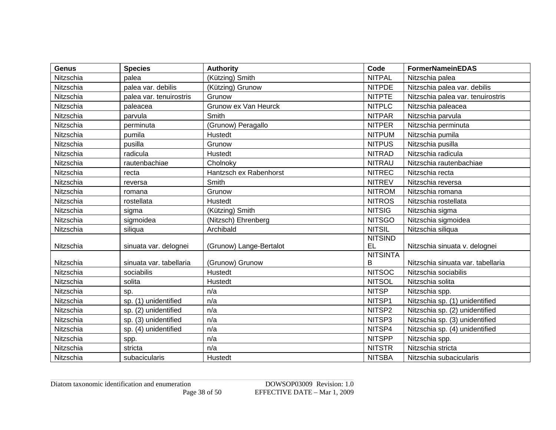| <b>Genus</b> | <b>Species</b>          | <b>Authority</b>        | Code            | <b>FormerNameinEDAS</b>           |
|--------------|-------------------------|-------------------------|-----------------|-----------------------------------|
| Nitzschia    | palea                   | (Kützing) Smith         | <b>NITPAL</b>   | Nitzschia palea                   |
| Nitzschia    | palea var. debilis      | (Kützing) Grunow        | <b>NITPDE</b>   | Nitzschia palea var. debilis      |
| Nitzschia    | palea var. tenuirostris | Grunow                  | <b>NITPTE</b>   | Nitzschia palea var. tenuirostris |
| Nitzschia    | paleacea                | Grunow ex Van Heurck    | <b>NITPLC</b>   | Nitzschia paleacea                |
| Nitzschia    | parvula                 | Smith                   | <b>NITPAR</b>   | Nitzschia parvula                 |
| Nitzschia    | perminuta               | (Grunow) Peragallo      | <b>NITPER</b>   | Nitzschia perminuta               |
| Nitzschia    | pumila                  | Hustedt                 | <b>NITPUM</b>   | Nitzschia pumila                  |
| Nitzschia    | pusilla                 | Grunow                  | <b>NITPUS</b>   | Nitzschia pusilla                 |
| Nitzschia    | radicula                | Hustedt                 | <b>NITRAD</b>   | Nitzschia radicula                |
| Nitzschia    | rautenbachiae           | Cholnoky                | <b>NITRAU</b>   | Nitzschia rautenbachiae           |
| Nitzschia    | recta                   | Hantzsch ex Rabenhorst  | <b>NITREC</b>   | Nitzschia recta                   |
| Nitzschia    | reversa                 | Smith                   | <b>NITREV</b>   | Nitzschia reversa                 |
| Nitzschia    | romana                  | Grunow                  | <b>NITROM</b>   | Nitzschia romana                  |
| Nitzschia    | rostellata              | Hustedt                 | <b>NITROS</b>   | Nitzschia rostellata              |
| Nitzschia    | sigma                   | (Kützing) Smith         | <b>NITSIG</b>   | Nitzschia sigma                   |
| Nitzschia    | sigmoidea               | (Nitzsch) Ehrenberg     | <b>NITSGO</b>   | Nitzschia sigmoidea               |
| Nitzschia    | siliqua                 | Archibald               | <b>NITSIL</b>   | Nitzschia siliqua                 |
|              |                         |                         | <b>NITSIND</b>  |                                   |
| Nitzschia    | sinuata var. delognei   | (Grunow) Lange-Bertalot | EL              | Nitzschia sinuata v. delognei     |
|              |                         |                         | <b>NITSINTA</b> |                                   |
| Nitzschia    | sinuata var. tabellaria | (Grunow) Grunow         | Β               | Nitzschia sinuata var. tabellaria |
| Nitzschia    | sociabilis              | Hustedt                 | <b>NITSOC</b>   | Nitzschia sociabilis              |
| Nitzschia    | solita                  | Hustedt                 | <b>NITSOL</b>   | Nitzschia solita                  |
| Nitzschia    | sp.                     | n/a                     | <b>NITSP</b>    | Nitzschia spp.                    |
| Nitzschia    | sp. (1) unidentified    | n/a                     | NITSP1          | Nitzschia sp. (1) unidentified    |
| Nitzschia    | sp. (2) unidentified    | n/a                     | NITSP2          | Nitzschia sp. (2) unidentified    |
| Nitzschia    | sp. (3) unidentified    | n/a                     | NITSP3          | Nitzschia sp. (3) unidentified    |
| Nitzschia    | sp. (4) unidentified    | n/a                     | NITSP4          | Nitzschia sp. (4) unidentified    |
| Nitzschia    | spp.                    | n/a                     | <b>NITSPP</b>   | Nitzschia spp.                    |
| Nitzschia    | stricta                 | n/a                     | <b>NITSTR</b>   | Nitzschia stricta                 |
| Nitzschia    | subacicularis           | Hustedt                 | <b>NITSBA</b>   | Nitzschia subacicularis           |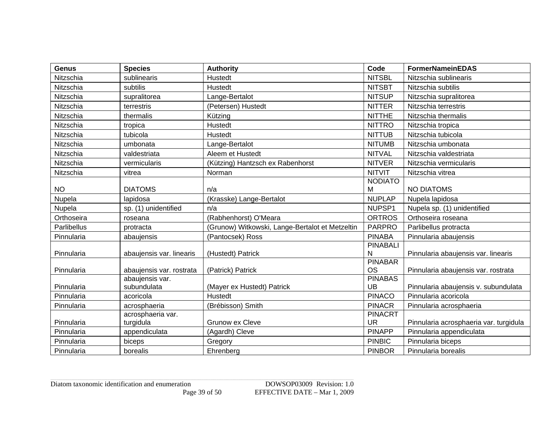| <b>Genus</b> | <b>Species</b>                              | <b>Authority</b>                                | Code                        | <b>FormerNameinEDAS</b>                |
|--------------|---------------------------------------------|-------------------------------------------------|-----------------------------|----------------------------------------|
| Nitzschia    | sublinearis                                 | Hustedt                                         | <b>NITSBL</b>               | Nitzschia sublinearis                  |
| Nitzschia    | subtilis                                    | Hustedt                                         | <b>NITSBT</b>               | Nitzschia subtilis                     |
| Nitzschia    | supralitorea                                | Lange-Bertalot                                  | <b>NITSUP</b>               | Nitzschia supralitorea                 |
| Nitzschia    | terrestris                                  | (Petersen) Hustedt                              | <b>NITTER</b>               | Nitzschia terrestris                   |
| Nitzschia    | thermalis                                   | Kützing                                         | <b>NITTHE</b>               | Nitzschia thermalis                    |
| Nitzschia    | tropica                                     | Hustedt                                         | <b>NITTRO</b>               | Nitzschia tropica                      |
| Nitzschia    | tubicola                                    | <b>Hustedt</b>                                  | <b>NITTUB</b>               | Nitzschia tubicola                     |
| Nitzschia    | umbonata                                    | Lange-Bertalot                                  | <b>NITUMB</b>               | Nitzschia umbonata                     |
| Nitzschia    | valdestriata                                | Aleem et Hustedt                                | <b>NITVAL</b>               | Nitzschia valdestriata                 |
| Nitzschia    | vermicularis                                | (Kützing) Hantzsch ex Rabenhorst                | <b>NITVER</b>               | Nitzschia vermicularis                 |
| Nitzschia    | vitrea                                      | Norman                                          | <b>NITVIT</b>               | Nitzschia vitrea                       |
|              |                                             |                                                 | <b>NODIATO</b>              |                                        |
| <b>NO</b>    | <b>DIATOMS</b>                              | n/a                                             | м                           | <b>NO DIATOMS</b>                      |
| Nupela       | lapidosa                                    | (Krasske) Lange-Bertalot                        | <b>NUPLAP</b>               | Nupela lapidosa                        |
| Nupela       | sp. (1) unidentified                        | n/a                                             | NUPSP1                      | Nupela sp. (1) unidentified            |
| Orthoseira   | roseana                                     | (Rabhenhorst) O'Meara                           | <b>ORTROS</b>               | Orthoseira roseana                     |
| Parlibellus  | protracta                                   | (Grunow) Witkowski, Lange-Bertalot et Metzeltin | <b>PARPRO</b>               | Parlibellus protracta                  |
| Pinnularia   | abaujensis                                  | (Pantocsek) Ross                                | <b>PINABA</b>               | Pinnularia abaujensis                  |
|              |                                             |                                                 | <b>PINABALI</b>             |                                        |
| Pinnularia   | abaujensis var. linearis                    | (Hustedt) Patrick                               | $\mathsf{N}$                | Pinnularia abaujensis var. linearis    |
|              |                                             |                                                 | <b>PINABAR</b><br><b>OS</b> |                                        |
| Pinnularia   | abaujensis var. rostrata<br>abaujensis var. | (Patrick) Patrick                               | <b>PINABAS</b>              | Pinnularia abaujensis var. rostrata    |
| Pinnularia   | subundulata                                 | (Mayer ex Hustedt) Patrick                      | <b>UB</b>                   | Pinnularia abaujensis v. subundulata   |
| Pinnularia   | acoricola                                   | <b>Hustedt</b>                                  | <b>PINACO</b>               | Pinnularia acoricola                   |
| Pinnularia   | acrosphaeria                                | (Brébisson) Smith                               | <b>PINACR</b>               | Pinnularia acrosphaeria                |
|              | acrosphaeria var.                           |                                                 | <b>PINACRT</b>              |                                        |
| Pinnularia   | turgidula                                   | Grunow ex Cleve                                 | <b>UR</b>                   | Pinnularia acrosphaeria var. turgidula |
| Pinnularia   | appendiculata                               | (Agardh) Cleve                                  | <b>PINAPP</b>               | Pinnularia appendiculata               |
| Pinnularia   | biceps                                      | Gregory                                         | <b>PINBIC</b>               | Pinnularia biceps                      |
| Pinnularia   | borealis                                    | Ehrenberg                                       | <b>PINBOR</b>               | Pinnularia borealis                    |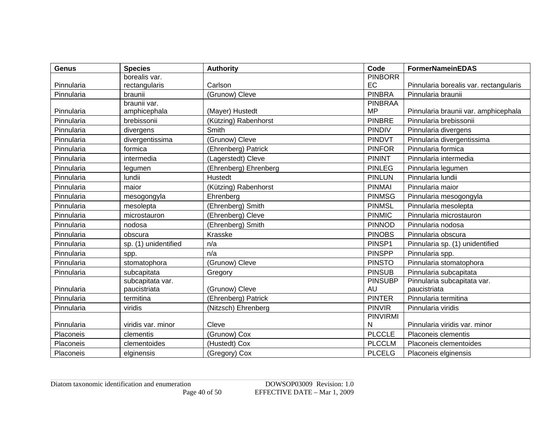| <b>Genus</b> | <b>Species</b>       | <b>Authority</b>      | Code           | <b>FormerNameinEDAS</b>                |
|--------------|----------------------|-----------------------|----------------|----------------------------------------|
|              | borealis var.        |                       | <b>PINBORR</b> |                                        |
| Pinnularia   | rectangularis        | Carlson               | EC             | Pinnularia borealis var. rectangularis |
| Pinnularia   | braunii              | (Grunow) Cleve        | <b>PINBRA</b>  | Pinnularia braunii                     |
|              | braunii var.         |                       | <b>PINBRAA</b> |                                        |
| Pinnularia   | amphicephala         | (Mayer) Hustedt       | <b>MP</b>      | Pinnularia braunii var. amphicephala   |
| Pinnularia   | brebissonii          | (Kützing) Rabenhorst  | <b>PINBRE</b>  | Pinnularia brebissonii                 |
| Pinnularia   | divergens            | Smith                 | <b>PINDIV</b>  | Pinnularia divergens                   |
| Pinnularia   | divergentissima      | (Grunow) Cleve        | PINDVT         | Pinnularia divergentissima             |
| Pinnularia   | formica              | (Ehrenberg) Patrick   | <b>PINFOR</b>  | Pinnularia formica                     |
| Pinnularia   | intermedia           | (Lagerstedt) Cleve    | <b>PININT</b>  | Pinnularia intermedia                  |
| Pinnularia   | legumen              | (Ehrenberg) Ehrenberg | <b>PINLEG</b>  | Pinnularia legumen                     |
| Pinnularia   | lundii               | Hustedt               | <b>PINLUN</b>  | Pinnularia lundii                      |
| Pinnularia   | maior                | (Kützing) Rabenhorst  | <b>PINMAI</b>  | Pinnularia maior                       |
| Pinnularia   | mesogongyla          | Ehrenberg             | <b>PINMSG</b>  | Pinnularia mesogongyla                 |
| Pinnularia   | mesolepta            | (Ehrenberg) Smith     | <b>PINMSL</b>  | Pinnularia mesolepta                   |
| Pinnularia   | microstauron         | (Ehrenberg) Cleve     | <b>PINMIC</b>  | Pinnularia microstauron                |
| Pinnularia   | nodosa               | (Ehrenberg) Smith     | <b>PINNOD</b>  | Pinnularia nodosa                      |
| Pinnularia   | obscura              | Krasske               | <b>PINOBS</b>  | Pinnularia obscura                     |
| Pinnularia   | sp. (1) unidentified | n/a                   | PINSP1         | Pinnularia sp. (1) unidentified        |
| Pinnularia   | spp.                 | n/a                   | <b>PINSPP</b>  | Pinnularia spp.                        |
| Pinnularia   | stomatophora         | (Grunow) Cleve        | <b>PINSTO</b>  | Pinnularia stomatophora                |
| Pinnularia   | subcapitata          | Gregory               | <b>PINSUB</b>  | Pinnularia subcapitata                 |
|              | subcapitata var.     |                       | <b>PINSUBP</b> | Pinnularia subcapitata var.            |
| Pinnularia   | paucistriata         | (Grunow) Cleve        | <b>AU</b>      | paucistriata                           |
| Pinnularia   | termitina            | (Ehrenberg) Patrick   | <b>PINTER</b>  | Pinnularia termitina                   |
| Pinnularia   | viridis              | (Nitzsch) Ehrenberg   | <b>PINVIR</b>  | Pinnularia viridis                     |
|              |                      |                       | PINVIRMI       |                                        |
| Pinnularia   | viridis var. minor   | Cleve                 | N              | Pinnularia viridis var. minor          |
| Placoneis    | clementis            | (Grunow) Cox          | <b>PLCCLE</b>  | Placoneis clementis                    |
| Placoneis    | clementoides         | (Hustedt) Cox         | <b>PLCCLM</b>  | Placoneis clementoides                 |
| Placoneis    | elginensis           | (Gregory) Cox         | <b>PLCELG</b>  | Placoneis elginensis                   |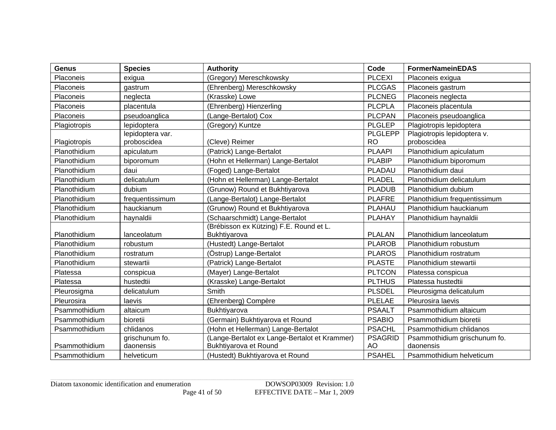| <b>Genus</b>  | <b>Species</b>                  | <b>Authority</b>                                                       | Code                        | <b>FormerNameinEDAS</b>                    |
|---------------|---------------------------------|------------------------------------------------------------------------|-----------------------------|--------------------------------------------|
| Placoneis     | exigua                          | (Gregory) Mereschkowsky                                                | <b>PLCEXI</b>               | Placoneis exigua                           |
| Placoneis     | gastrum                         | (Ehrenberg) Mereschkowsky                                              | <b>PLCGAS</b>               | Placoneis gastrum                          |
| Placoneis     | neglecta                        | (Krasske) Lowe                                                         | <b>PLCNEG</b>               | Placoneis neglecta                         |
| Placoneis     | placentula                      | (Ehrenberg) Hienzerling                                                | <b>PLCPLA</b>               | Placoneis placentula                       |
| Placoneis     | pseudoanglica                   | (Lange-Bertalot) Cox                                                   | <b>PLCPAN</b>               | Placoneis pseudoanglica                    |
| Plagiotropis  | lepidoptera                     | (Gregory) Kuntze                                                       | <b>PLGLEP</b>               | Plagiotropis lepidoptera                   |
| Plagiotropis  | lepidoptera var.<br>proboscidea | (Cleve) Reimer                                                         | <b>PLGLEPP</b><br><b>RO</b> | Plagiotropis lepidoptera v.<br>proboscidea |
| Planothidium  | apiculatum                      | (Patrick) Lange-Bertalot                                               | <b>PLAAPI</b>               | Planothidium apiculatum                    |
| Planothidium  | biporomum                       | (Hohn et Hellerman) Lange-Bertalot                                     | <b>PLABIP</b>               | Planothidium biporomum                     |
| Planothidium  | daui                            | (Foged) Lange-Bertalot                                                 | PLADAU                      | Planothidium daui                          |
| Planothidium  | delicatulum                     | (Hohn et Hellerman) Lange-Bertalot                                     | <b>PLADEL</b>               | Planothidium delicatulum                   |
| Planothidium  | dubium                          | (Grunow) Round et Bukhtiyarova                                         | <b>PLADUB</b>               | Planothidium dubium                        |
| Planothidium  | frequentissimum                 | (Lange-Bertalot) Lange-Bertalot                                        | <b>PLAFRE</b>               | Planothidium frequentissimum               |
| Planothidium  | hauckianum                      | (Grunow) Round et Bukhtiyarova                                         | PLAHAU                      | Planothidium hauckianum                    |
| Planothidium  | haynaldii                       | (Schaarschmidt) Lange-Bertalot                                         | <b>PLAHAY</b>               | Planothidium haynaldii                     |
|               |                                 | (Brébisson ex Kützing) F.E. Round et L.                                |                             |                                            |
| Planothidium  | lanceolatum                     | Bukhtiyarova                                                           | <b>PLALAN</b>               | Planothidium lanceolatum                   |
| Planothidium  | robustum                        | (Hustedt) Lange-Bertalot                                               | <b>PLAROB</b>               | Planothidium robustum                      |
| Planothidium  | rostratum                       | (Östrup) Lange-Bertalot                                                | <b>PLAROS</b>               | Planothidium rostratum                     |
| Planothidium  | stewartii                       | (Patrick) Lange-Bertalot                                               | <b>PLASTE</b>               | Planothidium stewartii                     |
| Platessa      | conspicua                       | (Mayer) Lange-Bertalot                                                 | <b>PLTCON</b>               | Platessa conspicua                         |
| Platessa      | hustedtii                       | (Krasske) Lange-Bertalot                                               | <b>PLTHUS</b>               | Platessa hustedtii                         |
| Pleurosigma   | delicatulum                     | Smith                                                                  | <b>PLSDEL</b>               | Pleurosigma delicatulum                    |
| Pleurosira    | laevis                          | (Ehrenberg) Compère                                                    | <b>PLELAE</b>               | Pleurosira laevis                          |
| Psammothidium | altaicum                        | Bukhtiyarova                                                           | <b>PSAALT</b>               | Psammothidium altaicum                     |
| Psammothidium | bioretii                        | (Germain) Bukhtiyarova et Round                                        | <b>PSABIO</b>               | Psammothidium bioretii                     |
| Psammothidium | chlidanos                       | (Hohn et Hellerman) Lange-Bertalot                                     | <b>PSACHL</b>               | Psammothidium chlidanos                    |
| Psammothidium | grischunum fo.<br>daonensis     | (Lange-Bertalot ex Lange-Bertalot et Krammer)<br>Bukhtiyarova et Round | <b>PSAGRID</b><br>AO        | Psammothidium grischunum fo.<br>daonensis  |
| Psammothidium | helveticum                      | (Hustedt) Bukhtiyarova et Round                                        | <b>PSAHEL</b>               | Psammothidium helveticum                   |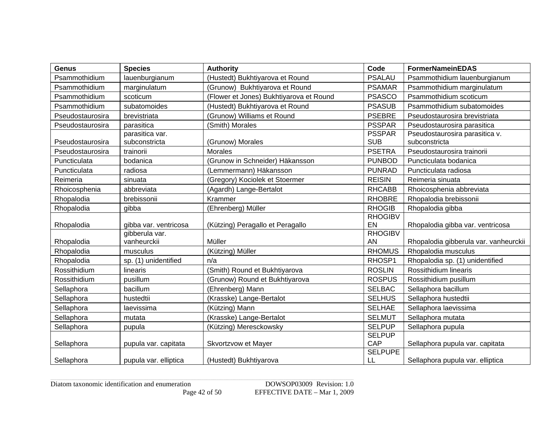| <b>Genus</b>     | <b>Species</b>        | <b>Authority</b>                        | Code           | <b>FormerNameinEDAS</b>               |
|------------------|-----------------------|-----------------------------------------|----------------|---------------------------------------|
| Psammothidium    | lauenburgianum        | (Hustedt) Bukhtiyarova et Round         | <b>PSALAU</b>  | Psammothidium lauenburgianum          |
| Psammothidium    | marginulatum          | (Grunow) Bukhtiyarova et Round          | <b>PSAMAR</b>  | Psammothidium marginulatum            |
| Psammothidium    | scoticum              | (Flower et Jones) Bukhtiyarova et Round | <b>PSASCO</b>  | Psammothidium scoticum                |
| Psammothidium    | subatomoides          | (Hustedt) Bukhtiyarova et Round         | <b>PSASUB</b>  | Psammothidium subatomoides            |
| Pseudostaurosira | brevistriata          | (Grunow) Williams et Round              | <b>PSEBRE</b>  | Pseudostaurosira brevistriata         |
| Pseudostaurosira | parasitica            | (Smith) Morales                         | <b>PSSPAR</b>  | Pseudostaurosira parasitica           |
|                  | parasitica var.       |                                         | <b>PSSPAR</b>  | Pseudostaurosira parasitica v.        |
| Pseudostaurosira | subconstricta         | (Grunow) Morales                        | <b>SUB</b>     | subconstricta                         |
| Pseudostaurosira | trainorii             | <b>Morales</b>                          | <b>PSETRA</b>  | Pseudostaurosira trainorii            |
| Puncticulata     | bodanica              | (Grunow in Schneider) Häkansson         | <b>PUNBOD</b>  | Puncticulata bodanica                 |
| Puncticulata     | radiosa               | (Lemmermann) Häkansson                  | <b>PUNRAD</b>  | Puncticulata radiosa                  |
| Reimeria         | sinuata               | (Gregory) Kociolek et Stoermer          | <b>REISIN</b>  | Reimeria sinuata                      |
| Rhoicosphenia    | abbreviata            | (Agardh) Lange-Bertalot                 | <b>RHCABB</b>  | Rhoicosphenia abbreviata              |
| Rhopalodia       | brebissonii           | Krammer                                 | <b>RHOBRE</b>  | Rhopalodia brebissonii                |
| Rhopalodia       | gibba                 | (Ehrenberg) Müller                      | <b>RHOGIB</b>  | Rhopalodia gibba                      |
|                  |                       |                                         | <b>RHOGIBV</b> |                                       |
| Rhopalodia       | gibba var. ventricosa | (Kützing) Peragallo et Peragallo        | EN             | Rhopalodia gibba var. ventricosa      |
|                  | gibberula var.        |                                         | <b>RHOGIBV</b> |                                       |
| Rhopalodia       | vanheurckii           | Müller                                  | AN             | Rhopalodia gibberula var. vanheurckii |
| Rhopalodia       | musculus              | (Kützing) Müller                        | <b>RHOMUS</b>  | Rhopalodia musculus                   |
| Rhopalodia       | sp. (1) unidentified  | n/a                                     | RHOSP1         | Rhopalodia sp. (1) unidentified       |
| Rossithidium     | linearis              | (Smith) Round et Bukhtiyarova           | <b>ROSLIN</b>  | Rossithidium linearis                 |
| Rossithidium     | pusillum              | (Grunow) Round et Bukhtiyarova          | <b>ROSPUS</b>  | Rossithidium pusillum                 |
| Sellaphora       | bacillum              | (Ehrenberg) Mann                        | <b>SELBAC</b>  | Sellaphora bacillum                   |
| Sellaphora       | hustedtii             | (Krasske) Lange-Bertalot                | <b>SELHUS</b>  | Sellaphora hustedtii                  |
| Sellaphora       | laevissima            | (Kützing) Mann                          | <b>SELHAE</b>  | Sellaphora laevissima                 |
| Sellaphora       | mutata                | (Krasske) Lange-Bertalot                | <b>SELMUT</b>  | Sellaphora mutata                     |
| Sellaphora       | pupula                | (Kützing) Meresckowsky                  | <b>SELPUP</b>  | Sellaphora pupula                     |
|                  |                       |                                         | <b>SELPUP</b>  |                                       |
| Sellaphora       | pupula var. capitata  | Skvortzvow et Mayer                     | CAP            | Sellaphora pupula var. capitata       |
|                  |                       |                                         | <b>SELPUPE</b> |                                       |
| Sellaphora       | pupula var. elliptica | (Hustedt) Bukhtiyarova                  | LL             | Sellaphora pupula var. elliptica      |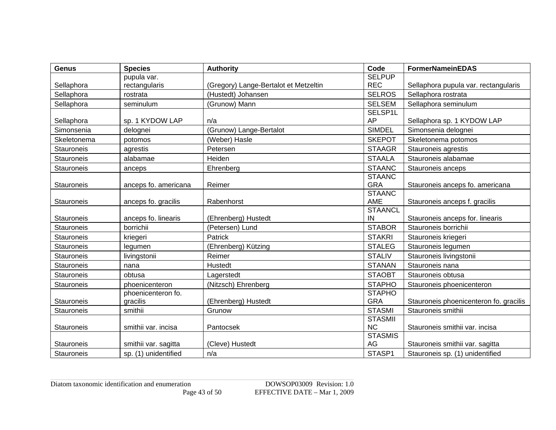| <b>Genus</b>      | <b>Species</b>       | <b>Authority</b>                      | Code                 | <b>FormerNameinEDAS</b>                |
|-------------------|----------------------|---------------------------------------|----------------------|----------------------------------------|
|                   | pupula var.          |                                       | <b>SELPUP</b>        |                                        |
| Sellaphora        | rectangularis        | (Gregory) Lange-Bertalot et Metzeltin | <b>REC</b>           | Sellaphora pupula var. rectangularis   |
| Sellaphora        | rostrata             | (Hustedt) Johansen                    | <b>SELROS</b>        | Sellaphora rostrata                    |
| Sellaphora        | seminulum            | (Grunow) Mann                         | <b>SELSEM</b>        | Sellaphora seminulum                   |
|                   |                      |                                       | SELSP1L              |                                        |
| Sellaphora        | sp. 1 KYDOW LAP      | n/a                                   | AP                   | Sellaphora sp. 1 KYDOW LAP             |
| Simonsenia        | delognei             | (Grunow) Lange-Bertalot               | <b>SIMDEL</b>        | Simonsenia delognei                    |
| Skeletonema       | potomos              | (Weber) Hasle                         | <b>SKEPOT</b>        | Skeletonema potomos                    |
| Stauroneis        | agrestis             | Petersen                              | <b>STAAGR</b>        | Stauroneis agrestis                    |
| <b>Stauroneis</b> | alabamae             | Heiden                                | <b>STAALA</b>        | Stauroneis alabamae                    |
| Stauroneis        | anceps               | Ehrenberg                             | <b>STAANC</b>        | Stauroneis anceps                      |
|                   |                      |                                       | <b>STAANC</b>        |                                        |
| Stauroneis        | anceps fo. americana | Reimer                                | <b>GRA</b>           | Stauroneis anceps fo. americana        |
|                   |                      |                                       | <b>STAANC</b>        |                                        |
| Stauroneis        | anceps fo. gracilis  | Rabenhorst                            | AME                  | Stauroneis anceps f. gracilis          |
| <b>Stauroneis</b> | anceps fo. linearis  | (Ehrenberg) Hustedt                   | <b>STAANCL</b><br>IN | Stauroneis anceps for. linearis        |
| Stauroneis        | borrichii            | (Petersen) Lund                       | <b>STABOR</b>        | Stauroneis borrichii                   |
|                   |                      |                                       |                      |                                        |
| <b>Stauroneis</b> | kriegeri             | Patrick                               | <b>STAKRI</b>        | Stauroneis kriegeri                    |
| Stauroneis        | legumen              | (Ehrenberg) Kützing                   | <b>STALEG</b>        | Stauroneis legumen                     |
| Stauroneis        | livingstonii         | Reimer                                | <b>STALIV</b>        | Stauroneis livingstonii                |
| <b>Stauroneis</b> | nana                 | Hustedt                               | <b>STANAN</b>        | Stauroneis nana                        |
| Stauroneis        | obtusa               | Lagerstedt                            | <b>STAOBT</b>        | Stauroneis obtusa                      |
| Stauroneis        | phoenicenteron       | (Nitzsch) Ehrenberg                   | <b>STAPHO</b>        | Stauroneis phoenicenteron              |
|                   | phoenicenteron fo.   |                                       | <b>STAPHO</b>        |                                        |
| <b>Stauroneis</b> | gracilis             | (Ehrenberg) Hustedt                   | <b>GRA</b>           | Stauroneis phoenicenteron fo. gracilis |
| Stauroneis        | smithii              | Grunow                                | <b>STASMI</b>        | Stauroneis smithii                     |
|                   |                      |                                       | <b>STASMII</b>       |                                        |
| Stauroneis        | smithii var. incisa  | Pantocsek                             | <b>NC</b>            | Stauroneis smithii var. incisa         |
| Stauroneis        |                      | (Cleve) Hustedt                       | <b>STASMIS</b><br>AG | Stauroneis smithii var. sagitta        |
|                   | smithii var. sagitta |                                       |                      |                                        |
| Stauroneis        | sp. (1) unidentified | n/a                                   | STASP1               | Stauroneis sp. (1) unidentified        |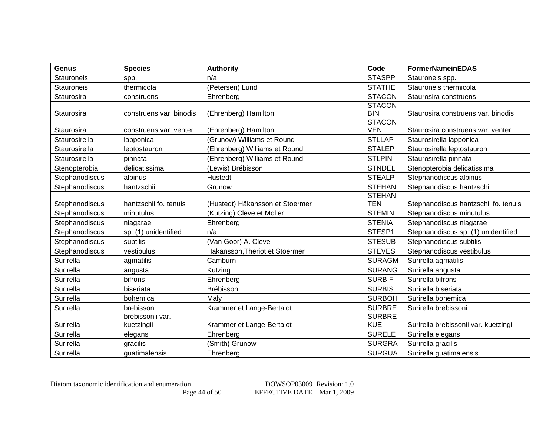| <b>Genus</b>      | <b>Species</b>          | <b>Authority</b>                | Code                        | <b>FormerNameinEDAS</b>               |
|-------------------|-------------------------|---------------------------------|-----------------------------|---------------------------------------|
| <b>Stauroneis</b> | spp.                    | n/a                             | <b>STASPP</b>               | Stauroneis spp.                       |
| <b>Stauroneis</b> | thermicola              | (Petersen) Lund                 | <b>STATHE</b>               | Stauroneis thermicola                 |
| Staurosira        | construens              | Ehrenberg                       | <b>STACON</b>               | Staurosira construens                 |
|                   |                         |                                 | <b>STACON</b>               |                                       |
| Staurosira        | construens var. binodis | (Ehrenberg) Hamilton            | <b>BIN</b>                  | Staurosira construens var. binodis    |
| Staurosira        | construens var. venter  | (Ehrenberg) Hamilton            | <b>STACON</b><br><b>VEN</b> | Staurosira construens var. venter     |
| Staurosirella     | lapponica               | (Grunow) Williams et Round      | <b>STLLAP</b>               | Staurosirella lapponica               |
| Staurosirella     | leptostauron            | (Ehrenberg) Williams et Round   | <b>STALEP</b>               | Staurosirella leptostauron            |
| Staurosirella     | pinnata                 | (Ehrenberg) Williams et Round   | <b>STLPIN</b>               | Staurosirella pinnata                 |
| Stenopterobia     | delicatissima           | (Lewis) Brébisson               | <b>STNDEL</b>               | Stenopterobia delicatissima           |
| Stephanodiscus    | alpinus                 | Hustedt                         | <b>STEALP</b>               | Stephanodiscus alpinus                |
| Stephanodiscus    | hantzschii              | Grunow                          | <b>STEHAN</b>               | Stephanodiscus hantzschii             |
|                   |                         |                                 | <b>STEHAN</b>               |                                       |
| Stephanodiscus    | hantzschii fo. tenuis   | (Hustedt) Häkansson et Stoermer | <b>TEN</b>                  | Stephanodiscus hantzschii fo. tenuis  |
| Stephanodiscus    | minutulus               | (Kützing) Cleve et Möller       | <b>STEMIN</b>               | Stephanodiscus minutulus              |
| Stephanodiscus    | niagarae                | Ehrenberg                       | <b>STENIA</b>               | Stephanodiscus niagarae               |
| Stephanodiscus    | sp. (1) unidentified    | n/a                             | STESP1                      | Stephanodiscus sp. (1) unidentified   |
| Stephanodiscus    | subtilis                | (Van Goor) A. Cleve             | <b>STESUB</b>               | Stephanodiscus subtilis               |
| Stephanodiscus    | vestibulus              | Häkansson, Theriot et Stoermer  | <b>STEVES</b>               | Stephanodiscus vestibulus             |
| Surirella         | agmatilis               | Camburn                         | <b>SURAGM</b>               | Surirella agmatilis                   |
| Surirella         | angusta                 | Kützing                         | <b>SURANG</b>               | Surirella angusta                     |
| Surirella         | bifrons                 | Ehrenberg                       | <b>SURBIF</b>               | Surirella bifrons                     |
| Surirella         | biseriata               | <b>Brébisson</b>                | <b>SURBIS</b>               | Surirella biseriata                   |
| Surirella         | bohemica                | Maly                            | <b>SURBOH</b>               | Surirella bohemica                    |
| Surirella         | brebissoni              | Krammer et Lange-Bertalot       | <b>SURBRE</b>               | Surirella brebissoni                  |
|                   | brebissonii var.        |                                 | <b>SURBRE</b>               |                                       |
| Surirella         | kuetzingii              | Krammer et Lange-Bertalot       | <b>KUE</b>                  | Surirella brebissonii var. kuetzingii |
| Surirella         | elegans                 | Ehrenberg                       | <b>SURELE</b>               | Surirella elegans                     |
| Surirella         | gracilis                | (Smith) Grunow                  | <b>SURGRA</b>               | Surirella gracilis                    |
| Surirella         | guatimalensis           | Ehrenberg                       | <b>SURGUA</b>               | Surirella guatimalensis               |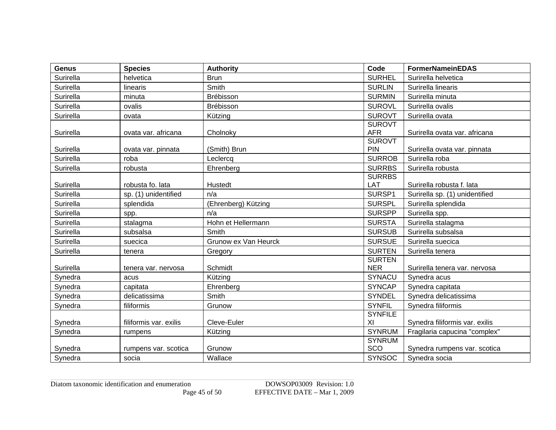| <b>Genus</b> | <b>Species</b>         | <b>Authority</b>     | Code                        | <b>FormerNameinEDAS</b>        |
|--------------|------------------------|----------------------|-----------------------------|--------------------------------|
| Surirella    | helvetica              | <b>Brun</b>          | <b>SURHEL</b>               | Surirella helvetica            |
| Surirella    | linearis               | Smith                | <b>SURLIN</b>               | Surirella linearis             |
| Surirella    | minuta                 | Brébisson            | <b>SURMIN</b>               | Surirella minuta               |
| Surirella    | ovalis                 | <b>Brébisson</b>     | <b>SUROVL</b>               | Surirella ovalis               |
| Surirella    | ovata                  | Kützing              | <b>SUROVT</b>               | Surirella ovata                |
| Surirella    | ovata var. africana    | Cholnoky             | <b>SUROVT</b><br><b>AFR</b> | Surirella ovata var. africana  |
|              |                        |                      | <b>SUROVT</b>               |                                |
| Surirella    | ovata var. pinnata     | (Smith) Brun         | <b>PIN</b>                  | Surirella ovata var. pinnata   |
| Surirella    | roba                   | Leclercq             | <b>SURROB</b>               | Surirella roba                 |
| Surirella    | robusta                | Ehrenberg            | <b>SURRBS</b>               | Surirella robusta              |
| Surirella    | robusta fo. lata       | Hustedt              | <b>SURRBS</b><br>LAT        | Surirella robusta f. lata      |
| Surirella    | sp. (1) unidentified   | n/a                  | SURSP1                      | Surirella sp. (1) unidentified |
| Surirella    | splendida              | (Ehrenberg) Kützing  | <b>SURSPL</b>               | Surirella splendida            |
| Surirella    | spp.                   | n/a                  | <b>SURSPP</b>               | Surirella spp.                 |
| Surirella    | stalagma               | Hohn et Hellermann   | <b>SURSTA</b>               | Surirella stalagma             |
| Surirella    | subsalsa               | Smith                | <b>SURSUB</b>               | Surirella subsalsa             |
| Surirella    | suecica                | Grunow ex Van Heurck | <b>SURSUE</b>               | Surirella suecica              |
| Surirella    | tenera                 | Gregory              | <b>SURTEN</b>               | Surirella tenera               |
|              |                        |                      | <b>SURTEN</b>               |                                |
| Surirella    | tenera var. nervosa    | Schmidt              | <b>NER</b>                  | Surirella tenera var. nervosa  |
| Synedra      | acus                   | Kützing              | SYNACU                      | Synedra acus                   |
| Synedra      | capitata               | Ehrenberg            | <b>SYNCAP</b>               | Synedra capitata               |
| Synedra      | delicatissima          | Smith                | <b>SYNDEL</b>               | Svnedra delicatissima          |
| Synedra      | filiformis             | Grunow               | <b>SYNFIL</b>               | Synedra filiformis             |
|              |                        |                      | <b>SYNFILE</b>              |                                |
| Synedra      | filiformis var. exilis | Cleve-Euler          | XI                          | Synedra filiformis var. exilis |
| Synedra      | rumpens                | Kützing              | <b>SYNRUM</b>               | Fragilaria capucina "complex"  |
| Synedra      | rumpens var. scotica   | Grunow               | <b>SYNRUM</b><br>SCO        | Synedra rumpens var. scotica   |
| Synedra      | socia                  | Wallace              | <b>SYNSOC</b>               | Synedra socia                  |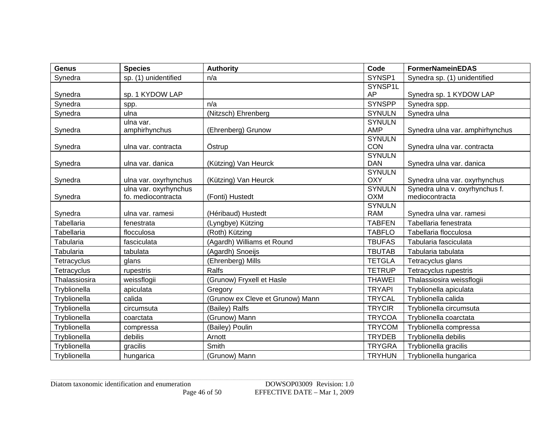| <b>Genus</b>  | <b>Species</b>        | <b>Authority</b>                 | Code                        | <b>FormerNameinEDAS</b>         |
|---------------|-----------------------|----------------------------------|-----------------------------|---------------------------------|
| Synedra       | sp. (1) unidentified  | n/a                              | SYNSP1                      | Synedra sp. (1) unidentified    |
|               |                       |                                  | SYNSP1L                     |                                 |
| Synedra       | sp. 1 KYDOW LAP       |                                  | AP                          | Synedra sp. 1 KYDOW LAP         |
| Synedra       | spp.                  | n/a                              | <b>SYNSPP</b>               | Synedra spp.                    |
| Synedra       | ulna                  | (Nitzsch) Ehrenberg              | <b>SYNULN</b>               | Synedra ulna                    |
|               | ulna var.             |                                  | <b>SYNULN</b>               |                                 |
| Synedra       | amphirhynchus         | (Ehrenberg) Grunow               | <b>AMP</b>                  | Synedra ulna var. amphirhynchus |
|               |                       |                                  | <b>SYNULN</b><br><b>CON</b> |                                 |
| Synedra       | ulna var. contracta   | Östrup                           | <b>SYNULN</b>               | Synedra ulna var. contracta     |
| Synedra       | ulna var. danica      | (Kützing) Van Heurck             | <b>DAN</b>                  | Synedra ulna var. danica        |
|               |                       |                                  | <b>SYNULN</b>               |                                 |
| Synedra       | ulna var. oxyrhynchus | (Kützing) Van Heurck             | <b>OXY</b>                  | Synedra ulna var. oxyrhynchus   |
|               | ulna var. oxyrhynchus |                                  | <b>SYNULN</b>               | Synedra ulna v. oxyrhynchus f.  |
| Synedra       | fo. mediocontracta    | (Fonti) Hustedt                  | <b>OXM</b>                  | mediocontracta                  |
|               |                       |                                  | <b>SYNULN</b>               |                                 |
| Synedra       | ulna var. ramesi      | (Héribaud) Hustedt               | <b>RAM</b>                  | Synedra ulna var. ramesi        |
| Tabellaria    | fenestrata            | (Lyngbye) Kützing                | <b>TABFEN</b>               | Tabellaria fenestrata           |
| Tabellaria    | flocculosa            | (Roth) Kützing                   | <b>TABFLO</b>               | Tabellaria flocculosa           |
| Tabularia     | fasciculata           | (Agardh) Williams et Round       | <b>TBUFAS</b>               | Tabularia fasciculata           |
| Tabularia     | tabulata              | (Agardh) Snoeijs                 | <b>TBUTAB</b>               | Tabularia tabulata              |
| Tetracyclus   | glans                 | (Ehrenberg) Mills                | <b>TETGLA</b>               | Tetracyclus glans               |
| Tetracyclus   | rupestris             | Ralfs                            | <b>TETRUP</b>               | Tetracyclus rupestris           |
| Thalassiosira | weissflogii           | (Grunow) Fryxell et Hasle        | <b>THAWEI</b>               | Thalassiosira weissflogii       |
| Tryblionella  | apiculata             | Gregory                          | <b>TRYAPI</b>               | Tryblionella apiculata          |
| Tryblionella  | calida                | (Grunow ex Cleve et Grunow) Mann | <b>TRYCAL</b>               | Tryblionella calida             |
| Tryblionella  | circumsuta            | (Bailey) Ralfs                   | <b>TRYCIR</b>               | Tryblionella circumsuta         |
| Tryblionella  | coarctata             | (Grunow) Mann                    | <b>TRYCOA</b>               | Tryblionella coarctata          |
| Tryblionella  | compressa             | (Bailey) Poulin                  | <b>TRYCOM</b>               | Tryblionella compressa          |
| Tryblionella  | debilis               | Arnott                           | <b>TRYDEB</b>               | Tryblionella debilis            |
| Tryblionella  | gracilis              | Smith                            | <b>TRYGRA</b>               | Tryblionella gracilis           |
| Tryblionella  | hungarica             | (Grunow) Mann                    | <b>TRYHUN</b>               | Tryblionella hungarica          |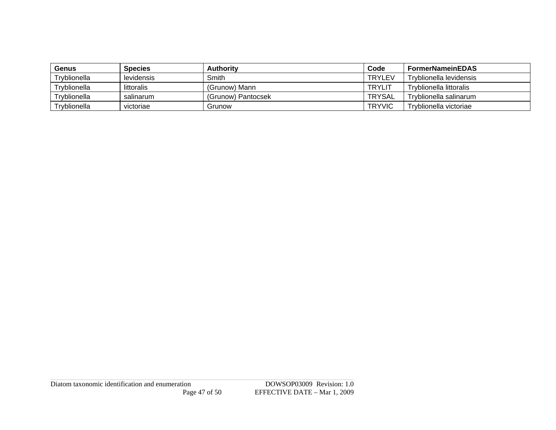| Genus        | <b>Species</b> | <b>Authority</b>   | Code          | <b>FormerNameinEDAS</b> |
|--------------|----------------|--------------------|---------------|-------------------------|
| Tryblionella | levidensis     | Smith              | <b>TRYLEV</b> | Tryblionella levidensis |
| Tryblionella | littoralis     | (Grunow) Mann      | <b>TRYLIT</b> | Tryblionella littoralis |
| Tryblionella | salinarum      | (Grunow) Pantocsek | TRYSAL        | Tryblionella salinarum  |
| Tryblionella | victoriae      | Grunow             | <b>TRYVIC</b> | Tryblionella victoriae  |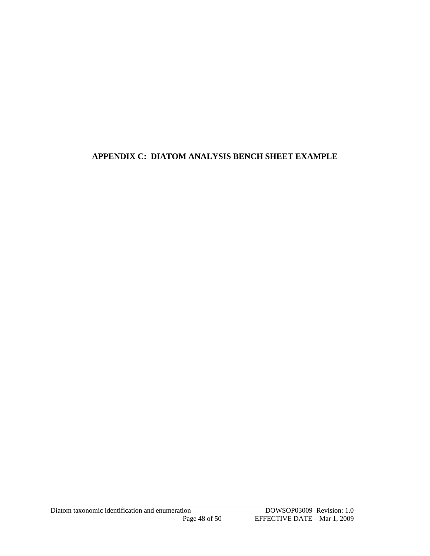#### <span id="page-47-0"></span>APPENDIX C: DIATOM ANALYSIS BENCH SHEET EXAMPLE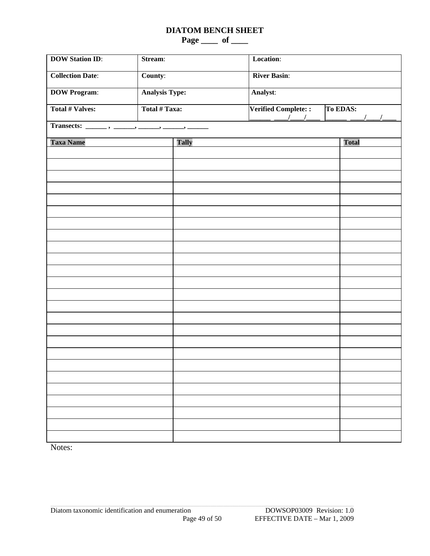#### **DIATOM BENCH SHEET**

**Page \_\_\_\_ of \_\_\_\_** 

| <b>DOW Station ID:</b>  | Stream:               |              | Location:                                        |                           |  |  |  |
|-------------------------|-----------------------|--------------|--------------------------------------------------|---------------------------|--|--|--|
| <b>Collection Date:</b> | County:               |              | <b>River Basin:</b>                              |                           |  |  |  |
| <b>DOW Program:</b>     | <b>Analysis Type:</b> |              | Analyst:                                         |                           |  |  |  |
| <b>Total # Valves:</b>  | Total # Taxa:         |              | Verified Complete::<br>$\frac{1}{2}$<br>$\prime$ | To EDAS:<br>$\frac{1}{2}$ |  |  |  |
|                         |                       |              |                                                  |                           |  |  |  |
| <b>Taxa Name</b>        |                       | <b>Tally</b> |                                                  | <b>Total</b>              |  |  |  |
|                         |                       |              |                                                  |                           |  |  |  |
|                         |                       |              |                                                  |                           |  |  |  |
|                         |                       |              |                                                  |                           |  |  |  |
|                         |                       |              |                                                  |                           |  |  |  |
|                         |                       |              |                                                  |                           |  |  |  |
|                         |                       |              |                                                  |                           |  |  |  |
|                         |                       |              |                                                  |                           |  |  |  |
|                         |                       |              |                                                  |                           |  |  |  |
|                         |                       |              |                                                  |                           |  |  |  |
|                         |                       |              |                                                  |                           |  |  |  |
|                         |                       |              |                                                  |                           |  |  |  |
|                         |                       |              |                                                  |                           |  |  |  |
|                         |                       |              |                                                  |                           |  |  |  |
|                         |                       |              |                                                  |                           |  |  |  |
|                         |                       |              |                                                  |                           |  |  |  |
|                         |                       |              |                                                  |                           |  |  |  |
|                         |                       |              |                                                  |                           |  |  |  |
|                         |                       |              |                                                  |                           |  |  |  |
|                         |                       |              |                                                  |                           |  |  |  |
|                         |                       |              |                                                  |                           |  |  |  |
|                         |                       |              |                                                  |                           |  |  |  |
|                         |                       |              |                                                  |                           |  |  |  |
|                         |                       |              |                                                  |                           |  |  |  |
|                         |                       |              |                                                  |                           |  |  |  |
|                         |                       |              |                                                  |                           |  |  |  |

Notes: